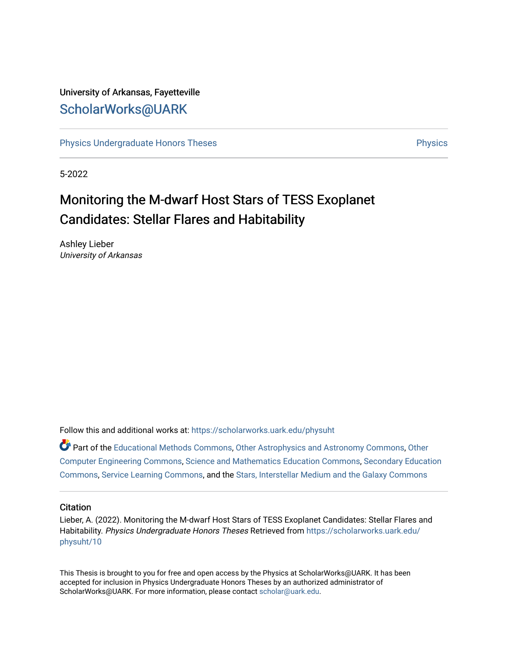# University of Arkansas, Fayetteville [ScholarWorks@UARK](https://scholarworks.uark.edu/)

[Physics Undergraduate Honors Theses](https://scholarworks.uark.edu/physuht) **Physics** [Physics](https://scholarworks.uark.edu/phys) Physics

5-2022

# Monitoring the M-dwarf Host Stars of TESS Exoplanet Candidates: Stellar Flares and Habitability

Ashley Lieber University of Arkansas

Follow this and additional works at: [https://scholarworks.uark.edu/physuht](https://scholarworks.uark.edu/physuht?utm_source=scholarworks.uark.edu%2Fphysuht%2F10&utm_medium=PDF&utm_campaign=PDFCoverPages) 

Part of the [Educational Methods Commons,](http://network.bepress.com/hgg/discipline/1227?utm_source=scholarworks.uark.edu%2Fphysuht%2F10&utm_medium=PDF&utm_campaign=PDFCoverPages) [Other Astrophysics and Astronomy Commons,](http://network.bepress.com/hgg/discipline/130?utm_source=scholarworks.uark.edu%2Fphysuht%2F10&utm_medium=PDF&utm_campaign=PDFCoverPages) [Other](http://network.bepress.com/hgg/discipline/265?utm_source=scholarworks.uark.edu%2Fphysuht%2F10&utm_medium=PDF&utm_campaign=PDFCoverPages) [Computer Engineering Commons](http://network.bepress.com/hgg/discipline/265?utm_source=scholarworks.uark.edu%2Fphysuht%2F10&utm_medium=PDF&utm_campaign=PDFCoverPages), [Science and Mathematics Education Commons](http://network.bepress.com/hgg/discipline/800?utm_source=scholarworks.uark.edu%2Fphysuht%2F10&utm_medium=PDF&utm_campaign=PDFCoverPages), [Secondary Education](http://network.bepress.com/hgg/discipline/1382?utm_source=scholarworks.uark.edu%2Fphysuht%2F10&utm_medium=PDF&utm_campaign=PDFCoverPages) [Commons](http://network.bepress.com/hgg/discipline/1382?utm_source=scholarworks.uark.edu%2Fphysuht%2F10&utm_medium=PDF&utm_campaign=PDFCoverPages), [Service Learning Commons,](http://network.bepress.com/hgg/discipline/1024?utm_source=scholarworks.uark.edu%2Fphysuht%2F10&utm_medium=PDF&utm_campaign=PDFCoverPages) and the [Stars, Interstellar Medium and the Galaxy Commons](http://network.bepress.com/hgg/discipline/127?utm_source=scholarworks.uark.edu%2Fphysuht%2F10&utm_medium=PDF&utm_campaign=PDFCoverPages)

#### **Citation**

Lieber, A. (2022). Monitoring the M-dwarf Host Stars of TESS Exoplanet Candidates: Stellar Flares and Habitability. Physics Undergraduate Honors Theses Retrieved from [https://scholarworks.uark.edu/](https://scholarworks.uark.edu/physuht/10?utm_source=scholarworks.uark.edu%2Fphysuht%2F10&utm_medium=PDF&utm_campaign=PDFCoverPages) [physuht/10](https://scholarworks.uark.edu/physuht/10?utm_source=scholarworks.uark.edu%2Fphysuht%2F10&utm_medium=PDF&utm_campaign=PDFCoverPages) 

This Thesis is brought to you for free and open access by the Physics at ScholarWorks@UARK. It has been accepted for inclusion in Physics Undergraduate Honors Theses by an authorized administrator of ScholarWorks@UARK. For more information, please contact [scholar@uark.edu](mailto:scholar@uark.edu).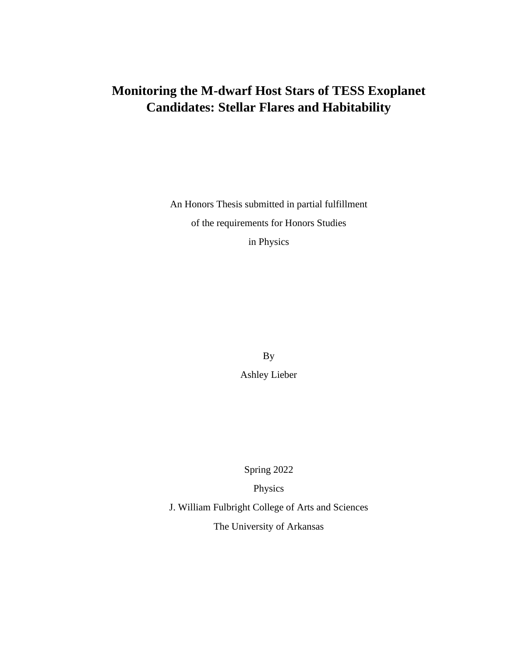# **Monitoring the M-dwarf Host Stars of TESS Exoplanet Candidates: Stellar Flares and Habitability**

An Honors Thesis submitted in partial fulfillment of the requirements for Honors Studies

in Physics

By

Ashley Lieber

Spring 2022

Physics

J. William Fulbright College of Arts and Sciences

The University of Arkansas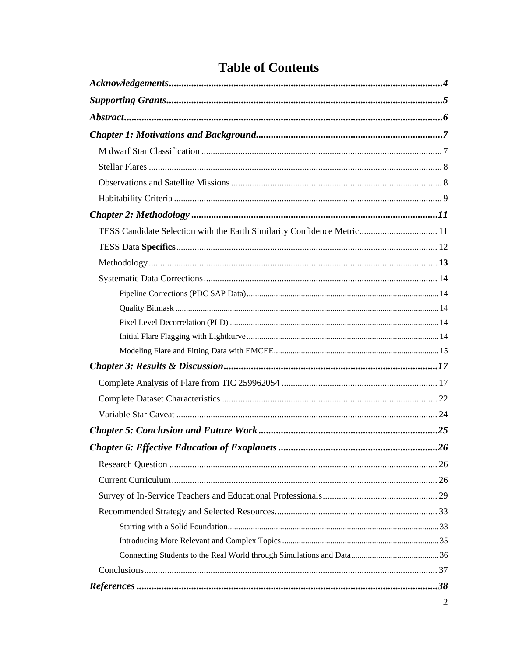| TESS Candidate Selection with the Earth Similarity Confidence Metric 11 |
|-------------------------------------------------------------------------|
|                                                                         |
|                                                                         |
|                                                                         |
|                                                                         |
|                                                                         |
|                                                                         |
|                                                                         |
|                                                                         |
|                                                                         |
|                                                                         |
|                                                                         |
|                                                                         |
|                                                                         |
| 26                                                                      |
|                                                                         |
|                                                                         |
|                                                                         |
|                                                                         |
|                                                                         |
|                                                                         |
|                                                                         |
|                                                                         |
|                                                                         |
|                                                                         |

# **Table of Contents**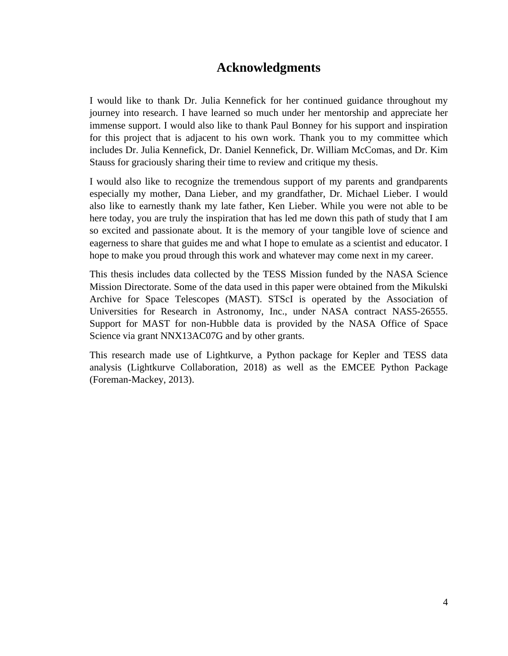# **Acknowledgments**

I would like to thank Dr. Julia Kennefick for her continued guidance throughout my journey into research. I have learned so much under her mentorship and appreciate her immense support. I would also like to thank Paul Bonney for his support and inspiration for this project that is adjacent to his own work. Thank you to my committee which includes Dr. Julia Kennefick, Dr. Daniel Kennefick, Dr. William McComas, and Dr. Kim Stauss for graciously sharing their time to review and critique my thesis.

I would also like to recognize the tremendous support of my parents and grandparents especially my mother, Dana Lieber, and my grandfather, Dr. Michael Lieber. I would also like to earnestly thank my late father, Ken Lieber. While you were not able to be here today, you are truly the inspiration that has led me down this path of study that I am so excited and passionate about. It is the memory of your tangible love of science and eagerness to share that guides me and what I hope to emulate as a scientist and educator. I hope to make you proud through this work and whatever may come next in my career.

This thesis includes data collected by the TESS Mission funded by the NASA Science Mission Directorate. Some of the data used in this paper were obtained from the Mikulski Archive for Space Telescopes (MAST). STScI is operated by the Association of Universities for Research in Astronomy, Inc., under NASA contract NAS5-26555. Support for MAST for non-Hubble data is provided by the NASA Office of Space Science via grant NNX13AC07G and by other grants.

This research made use of Lightkurve, a Python package for Kepler and TESS data analysis (Lightkurve Collaboration, 2018) as well as the EMCEE Python Package (Foreman-Mackey, 2013).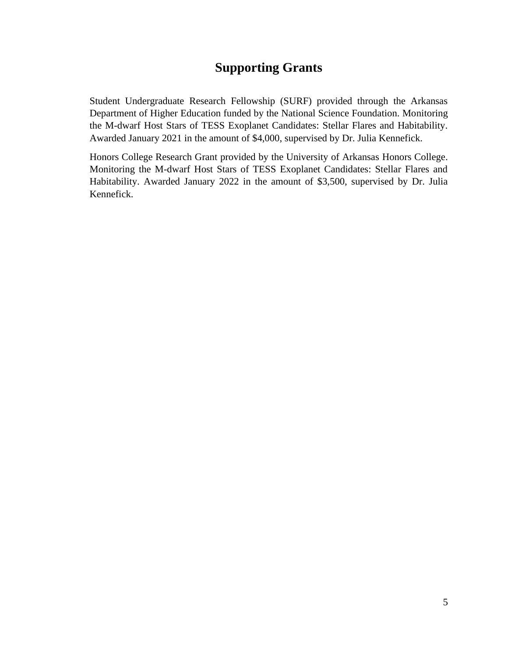# **Supporting Grants**

Student Undergraduate Research Fellowship (SURF) provided through the Arkansas Department of Higher Education funded by the National Science Foundation. Monitoring the M-dwarf Host Stars of TESS Exoplanet Candidates: Stellar Flares and Habitability. Awarded January 2021 in the amount of \$4,000, supervised by Dr. Julia Kennefick.

Honors College Research Grant provided by the University of Arkansas Honors College. Monitoring the M-dwarf Host Stars of TESS Exoplanet Candidates: Stellar Flares and Habitability. Awarded January 2022 in the amount of \$3,500, supervised by Dr. Julia Kennefick.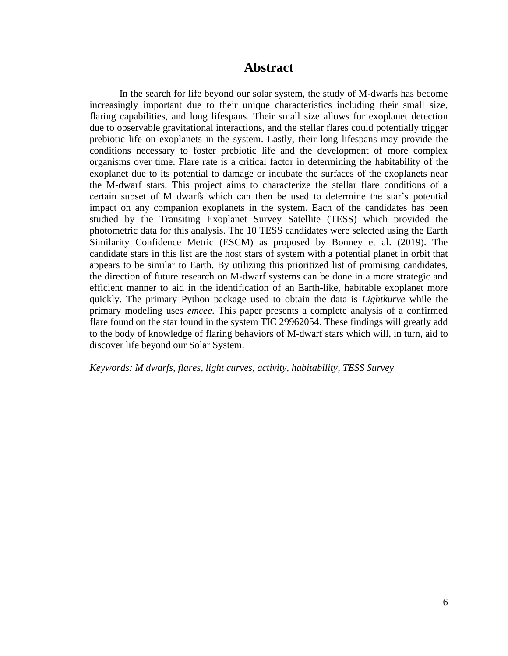# **Abstract**

In the search for life beyond our solar system, the study of M-dwarfs has become increasingly important due to their unique characteristics including their small size, flaring capabilities, and long lifespans. Their small size allows for exoplanet detection due to observable gravitational interactions, and the stellar flares could potentially trigger prebiotic life on exoplanets in the system. Lastly, their long lifespans may provide the conditions necessary to foster prebiotic life and the development of more complex organisms over time. Flare rate is a critical factor in determining the habitability of the exoplanet due to its potential to damage or incubate the surfaces of the exoplanets near the M-dwarf stars. This project aims to characterize the stellar flare conditions of a certain subset of M dwarfs which can then be used to determine the star's potential impact on any companion exoplanets in the system. Each of the candidates has been studied by the Transiting Exoplanet Survey Satellite (TESS) which provided the photometric data for this analysis. The 10 TESS candidates were selected using the Earth Similarity Confidence Metric (ESCM) as proposed by Bonney et al. (2019). The candidate stars in this list are the host stars of system with a potential planet in orbit that appears to be similar to Earth. By utilizing this prioritized list of promising candidates, the direction of future research on M-dwarf systems can be done in a more strategic and efficient manner to aid in the identification of an Earth-like, habitable exoplanet more quickly. The primary Python package used to obtain the data is *Lightkurve* while the primary modeling uses *emcee*. This paper presents a complete analysis of a confirmed flare found on the star found in the system TIC 29962054. These findings will greatly add to the body of knowledge of flaring behaviors of M-dwarf stars which will, in turn, aid to discover life beyond our Solar System.

*Keywords: M dwarfs, flares, light curves, activity, habitability, TESS Survey*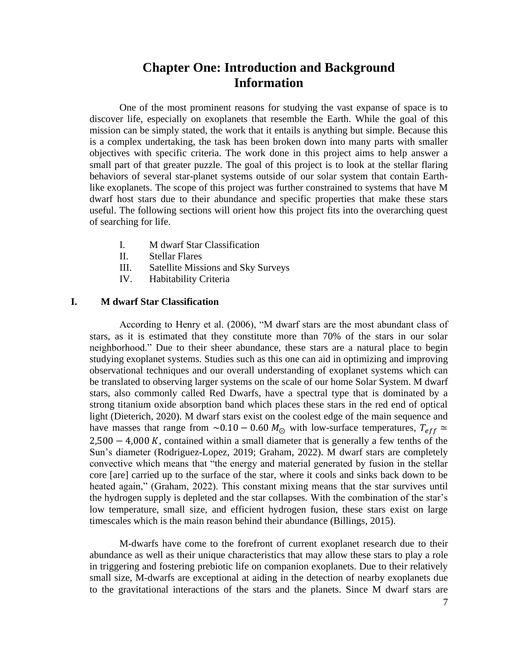# **Chapter One: Introduction and Background Information**

One of the most prominent reasons for studying the vast expanse of space is to discover life, especially on exoplanets that resemble the Earth. While the goal of this mission can be simply stated, the work that it entails is anything but simple. Because this is a complex undertaking, the task has been broken down into many parts with smaller objectives with specific criteria. The work done in this project aims to help answer a small part of that greater puzzle. The goal of this project is to look at the stellar flaring behaviors of several star-planet systems outside of our solar system that contain Earthlike exoplanets. The scope of this project was further constrained to systems that have M dwarf host stars due to their abundance and specific properties that make these stars useful. The following sections will orient how this project fits into the overarching quest of searching for life.

- I. M dwarf Star Classification
- II. Stellar Flares
- III. Satellite Missions and Sky Surveys
- IV. Habitability Criteria

## **I. M dwarf Star Classification**

According to Henry et al. (2006), "M dwarf stars are the most abundant class of stars, as it is estimated that they constitute more than 70% of the stars in our solar neighborhood." Due to their sheer abundance, these stars are a natural place to begin studying exoplanet systems. Studies such as this one can aid in optimizing and improving observational techniques and our overall understanding of exoplanet systems which can be translated to observing larger systems on the scale of our home Solar System. M dwarf stars, also commonly called Red Dwarfs, have a spectral type that is dominated by a strong titanium oxide absorption band which places these stars in the red end of optical light (Dieterich, 2020). M dwarf stars exist on the coolest edge of the main sequence and have masses that range from ~0.10 – 0.60  $M_{\odot}$  with low-surface temperatures,  $T_{eff} \simeq$  $2,500 - 4,000 K$ , contained within a small diameter that is generally a few tenths of the Sun's diameter (Rodriguez-Lopez, 2019; Graham, 2022). M dwarf stars are completely convective which means that "the energy and material generated by fusion in the stellar core [are] carried up to the surface of the star, where it cools and sinks back down to be heated again," (Graham, 2022). This constant mixing means that the star survives until the hydrogen supply is depleted and the star collapses. With the combination of the star's low temperature, small size, and efficient hydrogen fusion, these stars exist on large timescales which is the main reason behind their abundance (Billings, 2015).

M-dwarfs have come to the forefront of current exoplanet research due to their abundance as well as their unique characteristics that may allow these stars to play a role in triggering and fostering prebiotic life on companion exoplanets. Due to their relatively small size, M-dwarfs are exceptional at aiding in the detection of nearby exoplanets due to the gravitational interactions of the stars and the planets. Since M dwarf stars are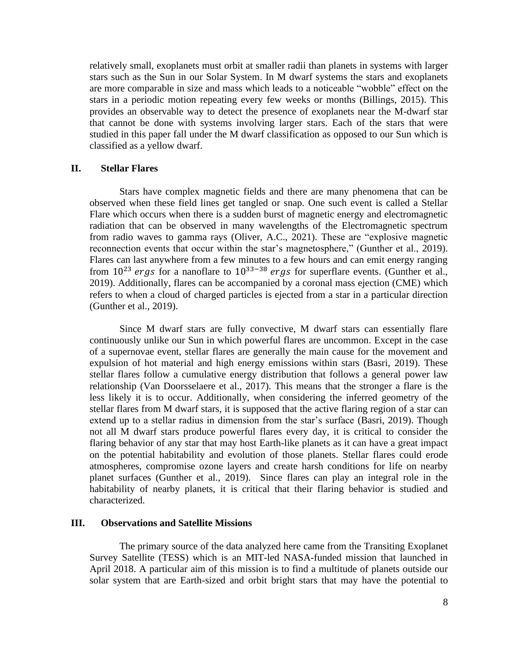relatively small, exoplanets must orbit at smaller radii than planets in systems with larger stars such as the Sun in our Solar System. In M dwarf systems the stars and exoplanets are more comparable in size and mass which leads to a noticeable "wobble" effect on the stars in a periodic motion repeating every few weeks or months (Billings, 2015). This provides an observable way to detect the presence of exoplanets near the M-dwarf star that cannot be done with systems involving larger stars. Each of the stars that were studied in this paper fall under the M dwarf classification as opposed to our Sun which is classified as a yellow dwarf.

#### **II. Stellar Flares**

Stars have complex magnetic fields and there are many phenomena that can be observed when these field lines get tangled or snap. One such event is called a Stellar Flare which occurs when there is a sudden burst of magnetic energy and electromagnetic radiation that can be observed in many wavelengths of the Electromagnetic spectrum from radio waves to gamma rays (Oliver, A.C., 2021). These are "explosive magnetic reconnection events that occur within the star's magnetosphere," (Gunther et al., 2019). Flares can last anywhere from a few minutes to a few hours and can emit energy ranging from  $10^{23}$  ergs for a nanoflare to  $10^{33-38}$  ergs for superflare events. (Gunther et al., 2019). Additionally, flares can be accompanied by a coronal mass ejection (CME) which refers to when a cloud of charged particles is ejected from a star in a particular direction (Gunther et al., 2019).

Since M dwarf stars are fully convective, M dwarf stars can essentially flare continuously unlike our Sun in which powerful flares are uncommon. Except in the case of a supernovae event, stellar flares are generally the main cause for the movement and expulsion of hot material and high energy emissions within stars (Basri, 2019). These stellar flares follow a cumulative energy distribution that follows a general power law relationship (Van Doorsselaere et al., 2017). This means that the stronger a flare is the less likely it is to occur. Additionally, when considering the inferred geometry of the stellar flares from M dwarf stars, it is supposed that the active flaring region of a star can extend up to a stellar radius in dimension from the star's surface (Basri, 2019). Though not all M dwarf stars produce powerful flares every day, it is critical to consider the flaring behavior of any star that may host Earth-like planets as it can have a great impact on the potential habitability and evolution of those planets. Stellar flares could erode atmospheres, compromise ozone layers and create harsh conditions for life on nearby planet surfaces (Gunther et al., 2019). Since flares can play an integral role in the habitability of nearby planets, it is critical that their flaring behavior is studied and characterized.

#### **III. Observations and Satellite Missions**

The primary source of the data analyzed here came from the Transiting Exoplanet Survey Satellite (TESS) which is an MIT-led NASA-funded mission that launched in April 2018. A particular aim of this mission is to find a multitude of planets outside our solar system that are Earth-sized and orbit bright stars that may have the potential to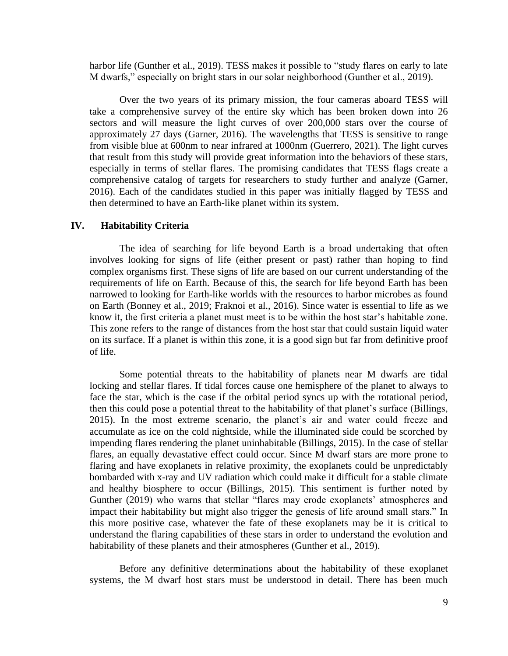harbor life (Gunther et al., 2019). TESS makes it possible to "study flares on early to late M dwarfs," especially on bright stars in our solar neighborhood (Gunther et al., 2019).

Over the two years of its primary mission, the four cameras aboard TESS will take a comprehensive survey of the entire sky which has been broken down into 26 sectors and will measure the light curves of over 200,000 stars over the course of approximately 27 days (Garner, 2016). The wavelengths that TESS is sensitive to range from visible blue at 600nm to near infrared at 1000nm (Guerrero, 2021). The light curves that result from this study will provide great information into the behaviors of these stars, especially in terms of stellar flares. The promising candidates that TESS flags create a comprehensive catalog of targets for researchers to study further and analyze (Garner, 2016). Each of the candidates studied in this paper was initially flagged by TESS and then determined to have an Earth-like planet within its system.

#### **IV. Habitability Criteria**

The idea of searching for life beyond Earth is a broad undertaking that often involves looking for signs of life (either present or past) rather than hoping to find complex organisms first. These signs of life are based on our current understanding of the requirements of life on Earth. Because of this, the search for life beyond Earth has been narrowed to looking for Earth-like worlds with the resources to harbor microbes as found on Earth (Bonney et al., 2019; Fraknoi et al., 2016). Since water is essential to life as we know it, the first criteria a planet must meet is to be within the host star's habitable zone. This zone refers to the range of distances from the host star that could sustain liquid water on its surface. If a planet is within this zone, it is a good sign but far from definitive proof of life.

Some potential threats to the habitability of planets near M dwarfs are tidal locking and stellar flares. If tidal forces cause one hemisphere of the planet to always to face the star, which is the case if the orbital period syncs up with the rotational period, then this could pose a potential threat to the habitability of that planet's surface (Billings, 2015). In the most extreme scenario, the planet's air and water could freeze and accumulate as ice on the cold nightside, while the illuminated side could be scorched by impending flares rendering the planet uninhabitable (Billings, 2015). In the case of stellar flares, an equally devastative effect could occur. Since M dwarf stars are more prone to flaring and have exoplanets in relative proximity, the exoplanets could be unpredictably bombarded with x-ray and UV radiation which could make it difficult for a stable climate and healthy biosphere to occur (Billings, 2015). This sentiment is further noted by Gunther (2019) who warns that stellar "flares may erode exoplanets' atmospheres and impact their habitability but might also trigger the genesis of life around small stars." In this more positive case, whatever the fate of these exoplanets may be it is critical to understand the flaring capabilities of these stars in order to understand the evolution and habitability of these planets and their atmospheres (Gunther et al., 2019).

Before any definitive determinations about the habitability of these exoplanet systems, the M dwarf host stars must be understood in detail. There has been much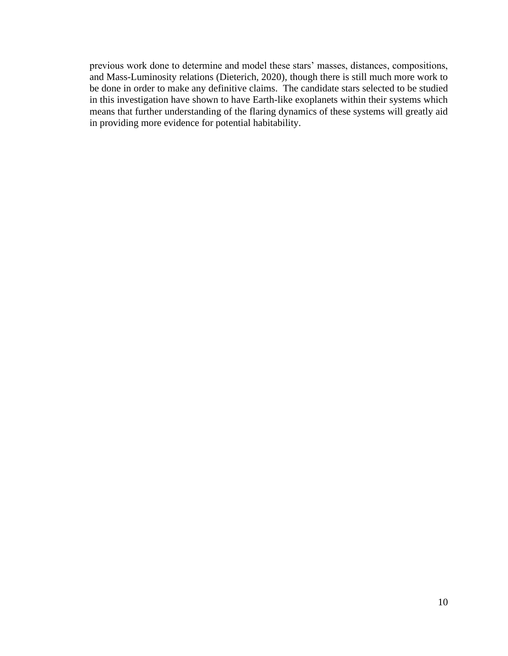previous work done to determine and model these stars' masses, distances, compositions, and Mass-Luminosity relations (Dieterich, 2020), though there is still much more work to be done in order to make any definitive claims. The candidate stars selected to be studied in this investigation have shown to have Earth-like exoplanets within their systems which means that further understanding of the flaring dynamics of these systems will greatly aid in providing more evidence for potential habitability.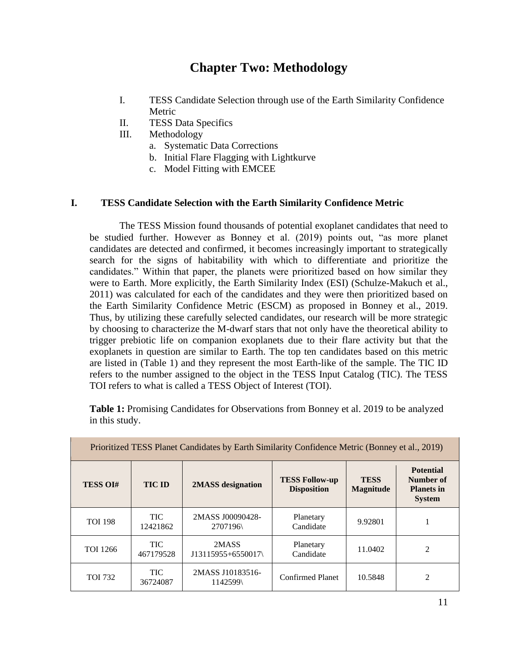# **Chapter Two: Methodology**

- I. TESS Candidate Selection through use of the Earth Similarity Confidence Metric
- II. TESS Data Specifics
- III. Methodology
	- a. Systematic Data Corrections
	- b. Initial Flare Flagging with Lightkurve
	- c. Model Fitting with EMCEE

## **I. TESS Candidate Selection with the Earth Similarity Confidence Metric**

The TESS Mission found thousands of potential exoplanet candidates that need to be studied further. However as Bonney et al. (2019) points out, "as more planet candidates are detected and confirmed, it becomes increasingly important to strategically search for the signs of habitability with which to differentiate and prioritize the candidates." Within that paper, the planets were prioritized based on how similar they were to Earth. More explicitly, the Earth Similarity Index (ESI) (Schulze-Makuch et al., 2011) was calculated for each of the candidates and they were then prioritized based on the Earth Similarity Confidence Metric (ESCM) as proposed in Bonney et al., 2019. Thus, by utilizing these carefully selected candidates, our research will be more strategic by choosing to characterize the M-dwarf stars that not only have the theoretical ability to trigger prebiotic life on companion exoplanets due to their flare activity but that the exoplanets in question are similar to Earth. The top ten candidates based on this metric are listed in (Table 1) and they represent the most Earth-like of the sample. The TIC ID refers to the number assigned to the object in the TESS Input Catalog (TIC). The TESS TOI refers to what is called a TESS Object of Interest (TOI).

**Table 1:** Promising Candidates for Observations from Bonney et al. 2019 to be analyzed in this study.

| Prioritized TESS Planet Candidates by Earth Similarity Confidence Metric (Bonney et al., 2019) |                         |                              |                                             |                                 |                                                                     |
|------------------------------------------------------------------------------------------------|-------------------------|------------------------------|---------------------------------------------|---------------------------------|---------------------------------------------------------------------|
| <b>TESS OI#</b>                                                                                | <b>TIC ID</b>           | 2MASS designation            | <b>TESS Follow-up</b><br><b>Disposition</b> | <b>TESS</b><br><b>Magnitude</b> | <b>Potential</b><br>Number of<br><b>Planets in</b><br><b>System</b> |
| <b>TOI 198</b>                                                                                 | <b>TIC</b><br>12421862  | 2MASS J00090428-<br>2707196  | Planetary<br>Candidate                      | 9.92801                         |                                                                     |
| <b>TOI</b> 1266                                                                                | <b>TIC</b><br>467179528 | 2MASS<br>J13115955+6550017\  | Planetary<br>Candidate                      | 11.0402                         | 2                                                                   |
| <b>TOI 732</b>                                                                                 | <b>TIC</b><br>36724087  | 2MASS J10183516-<br>1142599\ | <b>Confirmed Planet</b>                     | 10.5848                         | 2                                                                   |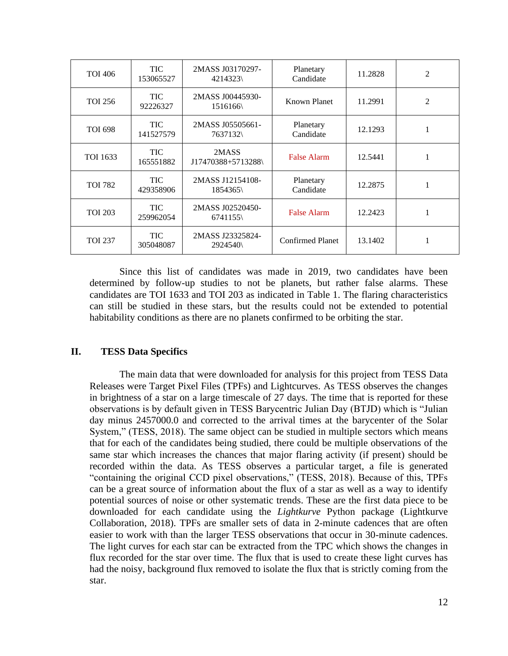| <b>TOI 406</b> | TIC.<br>153065527       | 2MASS J03170297-<br>4214323  | Planetary<br>Candidate  | 11.2828 | 2              |
|----------------|-------------------------|------------------------------|-------------------------|---------|----------------|
| <b>TOI 256</b> | TIC.<br>92226327        | 2MASS J00445930-<br>1516166  | Known Planet            | 11.2991 | $\overline{2}$ |
| <b>TOI 698</b> | <b>TIC</b><br>141527579 | 2MASS J05505661-<br>7637132  | Planetary<br>Candidate  | 12.1293 | 1              |
| TOI 1633       | TIC.<br>165551882       | 2MASS<br>J17470388+5713288\  | False Alarm             | 12.5441 |                |
| <b>TOI 782</b> | <b>TIC</b><br>429358906 | 2MASS J12154108-<br>1854365\ | Planetary<br>Candidate  | 12.2875 | 1              |
| <b>TOI 203</b> | <b>TIC</b><br>259962054 | 2MASS J02520450-<br>6741155  | <b>False Alarm</b>      | 12.2423 | 1              |
| <b>TOI 237</b> | TIC.<br>305048087       | 2MASS J23325824-<br>2924540\ | <b>Confirmed Planet</b> | 13.1402 |                |

Since this list of candidates was made in 2019, two candidates have been determined by follow-up studies to not be planets, but rather false alarms. These candidates are TOI 1633 and TOI 203 as indicated in Table 1. The flaring characteristics can still be studied in these stars, but the results could not be extended to potential habitability conditions as there are no planets confirmed to be orbiting the star.

## **II. TESS Data Specifics**

The main data that were downloaded for analysis for this project from TESS Data Releases were Target Pixel Files (TPFs) and Lightcurves. As TESS observes the changes in brightness of a star on a large timescale of 27 days. The time that is reported for these observations is by default given in TESS Barycentric Julian Day (BTJD) which is "Julian day minus 2457000.0 and corrected to the arrival times at the barycenter of the Solar System," (TESS, 2018). The same object can be studied in multiple sectors which means that for each of the candidates being studied, there could be multiple observations of the same star which increases the chances that major flaring activity (if present) should be recorded within the data. As TESS observes a particular target, a file is generated "containing the original CCD pixel observations," (TESS, 2018). Because of this, TPFs can be a great source of information about the flux of a star as well as a way to identify potential sources of noise or other systematic trends. These are the first data piece to be downloaded for each candidate using the *Lightkurve* Python package (Lightkurve Collaboration, 2018). TPFs are smaller sets of data in 2-minute cadences that are often easier to work with than the larger TESS observations that occur in 30-minute cadences. The light curves for each star can be extracted from the TPC which shows the changes in flux recorded for the star over time. The flux that is used to create these light curves has had the noisy, background flux removed to isolate the flux that is strictly coming from the star.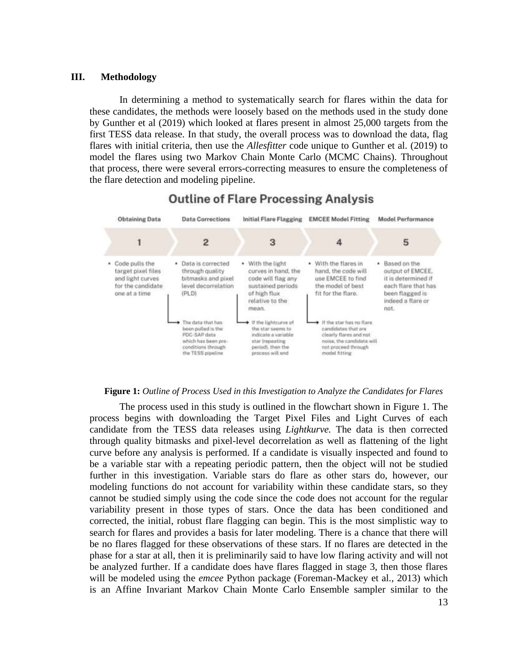#### **III. Methodology**

In determining a method to systematically search for flares within the data for these candidates, the methods were loosely based on the methods used in the study done by Gunther et al (2019) which looked at flares present in almost 25,000 targets from the first TESS data release. In that study, the overall process was to download the data, flag flares with initial criteria, then use the *Allesfitter* code unique to Gunther et al. (2019) to model the flares using two Markov Chain Monte Carlo (MCMC Chains). Throughout that process, there were several errors-correcting measures to ensure the completeness of the flare detection and modeling pipeline.



# **Outline of Flare Processing Analysis**

#### **Figure 1:** *Outline of Process Used in this Investigation to Analyze the Candidates for Flares*

The process used in this study is outlined in the flowchart shown in Figure 1. The process begins with downloading the Target Pixel Files and Light Curves of each candidate from the TESS data releases using *Lightkurve.* The data is then corrected through quality bitmasks and pixel-level decorrelation as well as flattening of the light curve before any analysis is performed. If a candidate is visually inspected and found to be a variable star with a repeating periodic pattern, then the object will not be studied further in this investigation. Variable stars do flare as other stars do, however, our modeling functions do not account for variability within these candidate stars, so they cannot be studied simply using the code since the code does not account for the regular variability present in those types of stars. Once the data has been conditioned and corrected, the initial, robust flare flagging can begin. This is the most simplistic way to search for flares and provides a basis for later modeling. There is a chance that there will be no flares flagged for these observations of these stars. If no flares are detected in the phase for a star at all, then it is preliminarily said to have low flaring activity and will not be analyzed further. If a candidate does have flares flagged in stage 3, then those flares will be modeled using the *emcee* Python package (Foreman-Mackey et al., 2013) which is an Affine Invariant Markov Chain Monte Carlo Ensemble sampler similar to the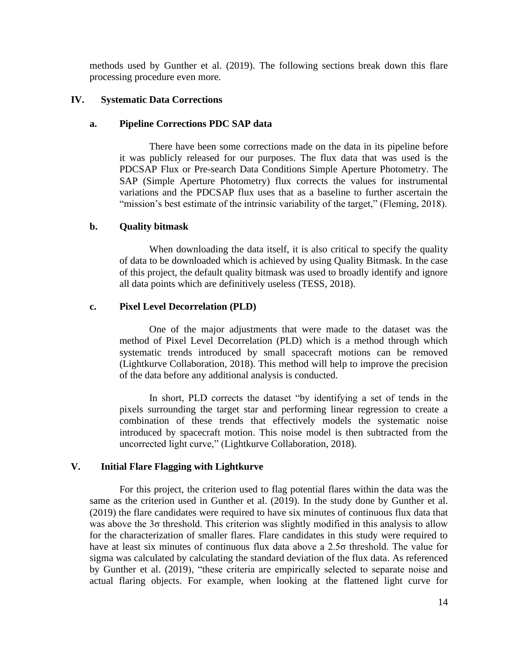methods used by Gunther et al. (2019). The following sections break down this flare processing procedure even more.

## **IV. Systematic Data Corrections**

## **a. Pipeline Corrections PDC SAP data**

There have been some corrections made on the data in its pipeline before it was publicly released for our purposes. The flux data that was used is the PDCSAP Flux or Pre-search Data Conditions Simple Aperture Photometry. The SAP (Simple Aperture Photometry) flux corrects the values for instrumental variations and the PDCSAP flux uses that as a baseline to further ascertain the "mission's best estimate of the intrinsic variability of the target," (Fleming, 2018).

## **b. Quality bitmask**

When downloading the data itself, it is also critical to specify the quality of data to be downloaded which is achieved by using Quality Bitmask. In the case of this project, the default quality bitmask was used to broadly identify and ignore all data points which are definitively useless (TESS, 2018).

## **c. Pixel Level Decorrelation (PLD)**

One of the major adjustments that were made to the dataset was the method of Pixel Level Decorrelation (PLD) which is a method through which systematic trends introduced by small spacecraft motions can be removed (Lightkurve Collaboration, 2018). This method will help to improve the precision of the data before any additional analysis is conducted.

In short, PLD corrects the dataset "by identifying a set of tends in the pixels surrounding the target star and performing linear regression to create a combination of these trends that effectively models the systematic noise introduced by spacecraft motion. This noise model is then subtracted from the uncorrected light curve," (Lightkurve Collaboration, 2018).

#### **V. Initial Flare Flagging with Lightkurve**

For this project, the criterion used to flag potential flares within the data was the same as the criterion used in Gunther et al. (2019). In the study done by Gunther et al. (2019) the flare candidates were required to have six minutes of continuous flux data that was above the 3σ threshold. This criterion was slightly modified in this analysis to allow for the characterization of smaller flares. Flare candidates in this study were required to have at least six minutes of continuous flux data above a 2.5σ threshold. The value for sigma was calculated by calculating the standard deviation of the flux data. As referenced by Gunther et al. (2019), "these criteria are empirically selected to separate noise and actual flaring objects. For example, when looking at the flattened light curve for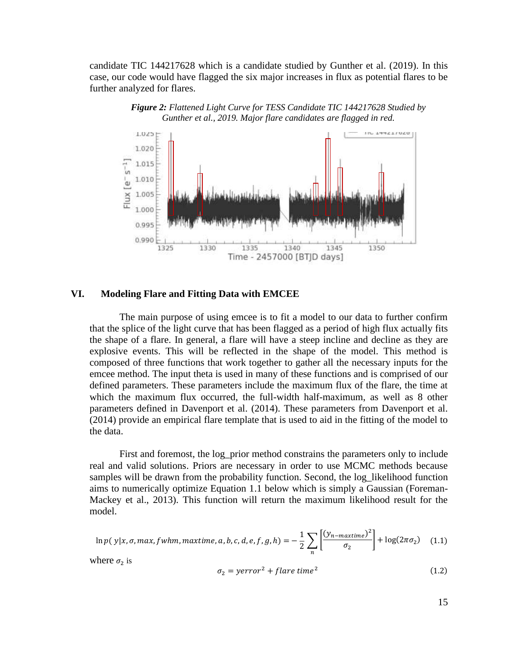candidate TIC 144217628 which is a candidate studied by Gunther et al. (2019). In this case, our code would have flagged the six major increases in flux as potential flares to be further analyzed for flares.



*Figure 2: Flattened Light Curve for TESS Candidate TIC 144217628 Studied by Gunther et al., 2019. Major flare candidates are flagged in red.*

#### **VI. Modeling Flare and Fitting Data with EMCEE**

The main purpose of using emcee is to fit a model to our data to further confirm that the splice of the light curve that has been flagged as a period of high flux actually fits the shape of a flare. In general, a flare will have a steep incline and decline as they are explosive events. This will be reflected in the shape of the model. This method is composed of three functions that work together to gather all the necessary inputs for the emcee method. The input theta is used in many of these functions and is comprised of our defined parameters. These parameters include the maximum flux of the flare, the time at which the maximum flux occurred, the full-width half-maximum, as well as 8 other parameters defined in Davenport et al. (2014). These parameters from Davenport et al. (2014) provide an empirical flare template that is used to aid in the fitting of the model to the data.

First and foremost, the log\_prior method constrains the parameters only to include real and valid solutions. Priors are necessary in order to use MCMC methods because samples will be drawn from the probability function. Second, the log likelihood function aims to numerically optimize Equation 1.1 below which is simply a Gaussian (Foreman-Mackey et al., 2013). This function will return the maximum likelihood result for the model.

$$
\ln p(y|x, \sigma, \max, fwhm, \maxtime, a, b, c, d, e, f, g, h) = -\frac{1}{2} \sum_{n} \left[ \frac{(y_{n-maxtime})^2}{\sigma_2} \right] + \log(2\pi\sigma_2) \quad (1.1)
$$

where  $\sigma_2$  is

$$
\sigma_2 = \text{yerror}^2 + \text{flare time}^2 \tag{1.2}
$$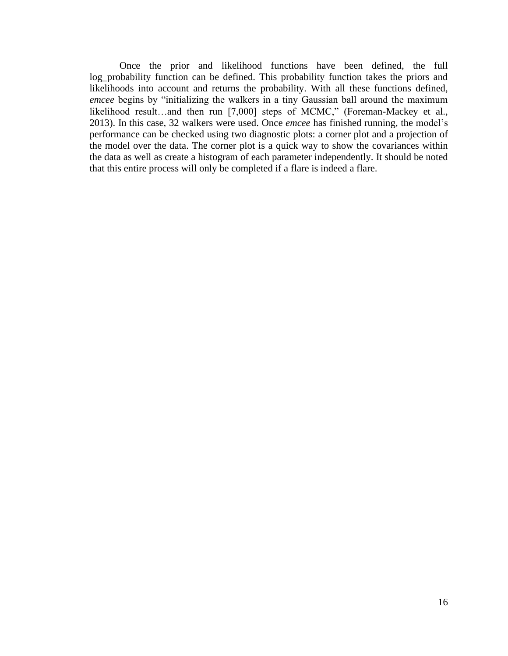Once the prior and likelihood functions have been defined, the full log\_probability function can be defined. This probability function takes the priors and likelihoods into account and returns the probability. With all these functions defined, *emcee* begins by "initializing the walkers in a tiny Gaussian ball around the maximum likelihood result…and then run [7,000] steps of MCMC," (Foreman-Mackey et al., 2013). In this case, 32 walkers were used. Once *emcee* has finished running, the model's performance can be checked using two diagnostic plots: a corner plot and a projection of the model over the data. The corner plot is a quick way to show the covariances within the data as well as create a histogram of each parameter independently. It should be noted that this entire process will only be completed if a flare is indeed a flare.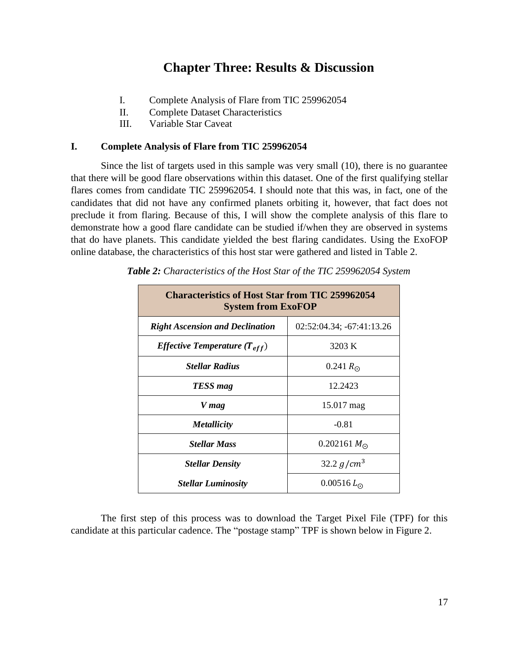# **Chapter Three: Results & Discussion**

- I. Complete Analysis of Flare from TIC 259962054
- II. Complete Dataset Characteristics
- III. Variable Star Caveat

## **I. Complete Analysis of Flare from TIC 259962054**

Since the list of targets used in this sample was very small (10), there is no guarantee that there will be good flare observations within this dataset. One of the first qualifying stellar flares comes from candidate TIC 259962054. I should note that this was, in fact, one of the candidates that did not have any confirmed planets orbiting it, however, that fact does not preclude it from flaring. Because of this, I will show the complete analysis of this flare to demonstrate how a good flare candidate can be studied if/when they are observed in systems that do have planets. This candidate yielded the best flaring candidates. Using the ExoFOP online database, the characteristics of this host star were gathered and listed in Table 2.

| <b>Characteristics of Host Star from TIC 259962054</b><br><b>System from ExoFOP</b> |                           |  |
|-------------------------------------------------------------------------------------|---------------------------|--|
| <b>Right Ascension and Declination</b>                                              | 02:52:04.34; -67:41:13.26 |  |
| <i>Effective Temperature</i> $(T_{eff})$                                            | 3203 K                    |  |
| <b>Stellar Radius</b>                                                               | 0.241 $R_{\odot}$         |  |
| TESS mag                                                                            | 12.2423                   |  |
| V mag                                                                               | 15.017 mag                |  |
| <i><b>Metallicity</b></i>                                                           | $-0.81$                   |  |
| <b>Stellar Mass</b>                                                                 | 0.202161 $M_{\odot}$      |  |
| <b>Stellar Density</b>                                                              | 32.2 $g/cm^3$             |  |
| <b>Stellar Luminosity</b>                                                           | $0.00516 L_{\odot}$       |  |

*Table 2: Characteristics of the Host Star of the TIC 259962054 System*

The first step of this process was to download the Target Pixel File (TPF) for this candidate at this particular cadence. The "postage stamp" TPF is shown below in Figure 2.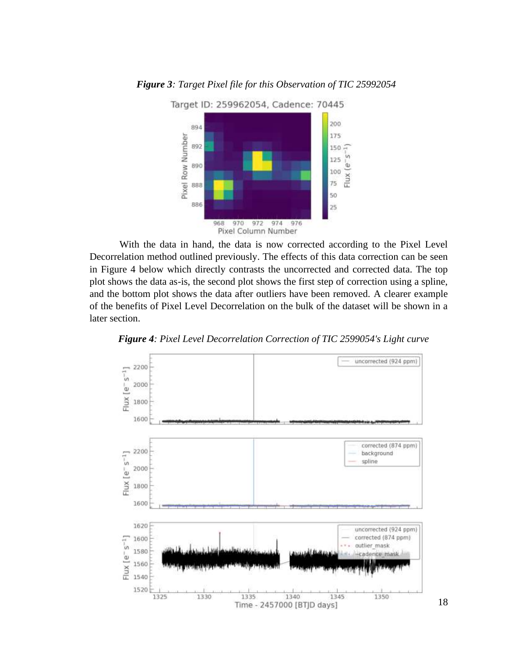

## *Figure 3: Target Pixel file for this Observation of TIC 25992054*

With the data in hand, the data is now corrected according to the Pixel Level Decorrelation method outlined previously. The effects of this data correction can be seen in Figure 4 below which directly contrasts the uncorrected and corrected data. The top plot shows the data as-is, the second plot shows the first step of correction using a spline, and the bottom plot shows the data after outliers have been removed. A clearer example of the benefits of Pixel Level Decorrelation on the bulk of the dataset will be shown in a later section.



*Figure 4: Pixel Level Decorrelation Correction of TIC 2599054's Light curve*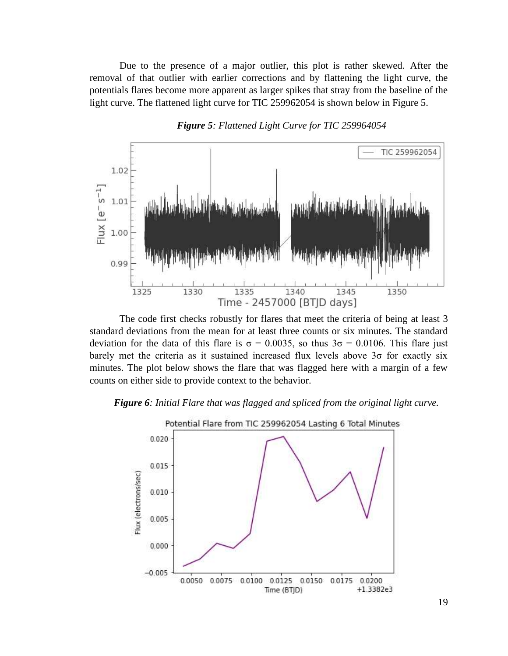Due to the presence of a major outlier, this plot is rather skewed. After the removal of that outlier with earlier corrections and by flattening the light curve, the potentials flares become more apparent as larger spikes that stray from the baseline of the light curve. The flattened light curve for TIC 259962054 is shown below in Figure 5.





The code first checks robustly for flares that meet the criteria of being at least 3 standard deviations from the mean for at least three counts or six minutes. The standard deviation for the data of this flare is  $\sigma = 0.0035$ , so thus  $3\sigma = 0.0106$ . This flare just barely met the criteria as it sustained increased flux levels above 3σ for exactly six minutes. The plot below shows the flare that was flagged here with a margin of a few counts on either side to provide context to the behavior.

#### *Figure 6: Initial Flare that was flagged and spliced from the original light curve.*

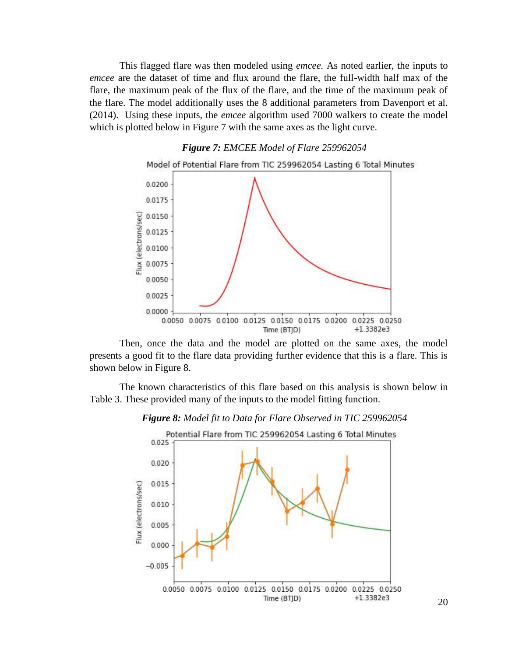This flagged flare was then modeled using *emcee.* As noted earlier, the inputs to *emcee* are the dataset of time and flux around the flare, the full-width half max of the flare, the maximum peak of the flux of the flare, and the time of the maximum peak of the flare. The model additionally uses the 8 additional parameters from Davenport et al. (2014). Using these inputs, the *emcee* algorithm used 7000 walkers to create the model which is plotted below in Figure 7 with the same axes as the light curve.



Then, once the data and the model are plotted on the same axes, the model presents a good fit to the flare data providing further evidence that this is a flare. This is shown below in Figure 8.

The known characteristics of this flare based on this analysis is shown below in Table 3. These provided many of the inputs to the model fitting function.



*Figure 8: Model fit to Data for Flare Observed in TIC 259962054*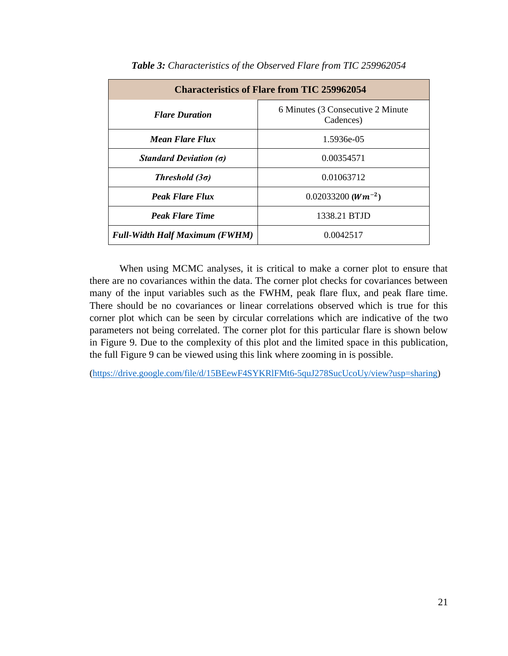| <b>Characteristics of Flare from TIC 259962054</b> |                                                 |  |  |
|----------------------------------------------------|-------------------------------------------------|--|--|
| <b>Flare Duration</b>                              | 6 Minutes (3 Consecutive 2 Minute)<br>Cadences) |  |  |
| Mean Flare Flux                                    | 1.5936e-05                                      |  |  |
| Standard Deviation $(\sigma)$                      | 0.00354571                                      |  |  |
| Threshold $(3\sigma)$                              | 0.01063712                                      |  |  |
| <b>Peak Flare Flux</b>                             | $0.02033200$ ( $Wm^{-2}$ )                      |  |  |
| <b>Peak Flare Time</b>                             | 1338.21 BTJD                                    |  |  |
| <b>Full-Width Half Maximum (FWHM)</b>              | 0.0042517                                       |  |  |

| Table 3: Characteristics of the Observed Flare from TIC 259962054 |  |  |  |
|-------------------------------------------------------------------|--|--|--|
|-------------------------------------------------------------------|--|--|--|

When using MCMC analyses, it is critical to make a corner plot to ensure that there are no covariances within the data. The corner plot checks for covariances between many of the input variables such as the FWHM, peak flare flux, and peak flare time. There should be no covariances or linear correlations observed which is true for this corner plot which can be seen by circular correlations which are indicative of the two parameters not being correlated. The corner plot for this particular flare is shown below in Figure 9. Due to the complexity of this plot and the limited space in this publication, the full Figure 9 can be viewed using this link where zooming in is possible.

[\(https://drive.google.com/file/d/15BEewF4SYKRlFMt6-5quJ278SucUcoUy/view?usp=sharing\)](https://drive.google.com/file/d/15BEewF4SYKRlFMt6-5quJ278SucUcoUy/view?usp=sharing)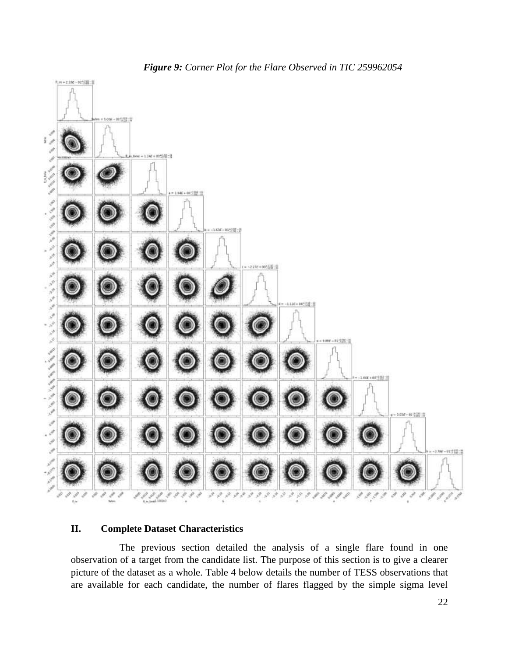

## **II. Complete Dataset Characteristics**

The previous section detailed the analysis of a single flare found in one observation of a target from the candidate list. The purpose of this section is to give a clearer picture of the dataset as a whole. Table 4 below details the number of TESS observations that are available for each candidate, the number of flares flagged by the simple sigma level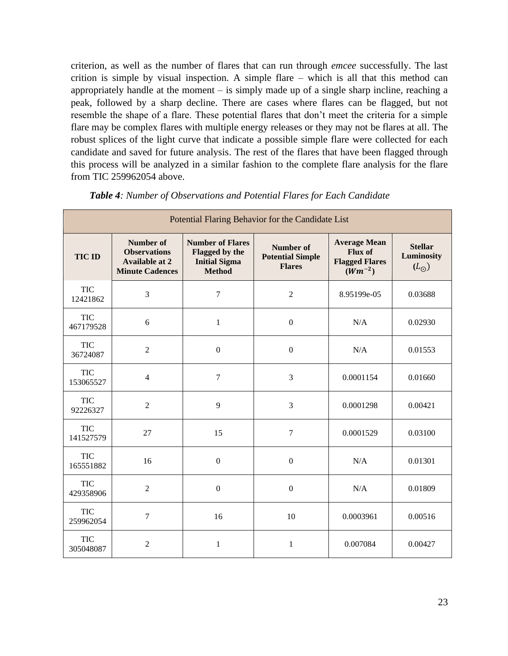criterion, as well as the number of flares that can run through *emcee* successfully. The last crition is simple by visual inspection. A simple flare – which is all that this method can appropriately handle at the moment – is simply made up of a single sharp incline, reaching a peak, followed by a sharp decline. There are cases where flares can be flagged, but not resemble the shape of a flare. These potential flares that don't meet the criteria for a simple flare may be complex flares with multiple energy releases or they may not be flares at all. The robust splices of the light curve that indicate a possible simple flare were collected for each candidate and saved for future analysis. The rest of the flares that have been flagged through this process will be analyzed in a similar fashion to the complete flare analysis for the flare from TIC 259962054 above.

| Potential Flaring Behavior for the Candidate List |                                                                                            |                                                                                    |                                                              |                                                                               |                                               |
|---------------------------------------------------|--------------------------------------------------------------------------------------------|------------------------------------------------------------------------------------|--------------------------------------------------------------|-------------------------------------------------------------------------------|-----------------------------------------------|
| <b>TIC ID</b>                                     | <b>Number of</b><br><b>Observations</b><br><b>Available at 2</b><br><b>Minute Cadences</b> | <b>Number of Flares</b><br>Flagged by the<br><b>Initial Sigma</b><br><b>Method</b> | <b>Number of</b><br><b>Potential Simple</b><br><b>Flares</b> | <b>Average Mean</b><br><b>Flux of</b><br><b>Flagged Flares</b><br>$(Wm^{-2})$ | <b>Stellar</b><br>Luminosity<br>$(L_{\odot})$ |
| <b>TIC</b><br>12421862                            | 3                                                                                          | $\overline{7}$                                                                     | $\overline{2}$                                               | 8.95199e-05                                                                   | 0.03688                                       |
| <b>TIC</b><br>467179528                           | 6                                                                                          | $\mathbf{1}$                                                                       | $\boldsymbol{0}$                                             | N/A                                                                           | 0.02930                                       |
| <b>TIC</b><br>36724087                            | $\overline{2}$                                                                             | $\mathbf{0}$                                                                       | $\mathbf{0}$                                                 | N/A                                                                           | 0.01553                                       |
| <b>TIC</b><br>153065527                           | $\overline{4}$                                                                             | $\overline{7}$                                                                     | 3                                                            | 0.0001154                                                                     | 0.01660                                       |
| <b>TIC</b><br>92226327                            | $\overline{2}$                                                                             | 9                                                                                  | 3                                                            | 0.0001298                                                                     | 0.00421                                       |
| <b>TIC</b><br>141527579                           | 27                                                                                         | 15                                                                                 | $\overline{7}$                                               | 0.0001529                                                                     | 0.03100                                       |
| <b>TIC</b><br>165551882                           | 16                                                                                         | $\boldsymbol{0}$                                                                   | $\boldsymbol{0}$                                             | N/A                                                                           | 0.01301                                       |
| <b>TIC</b><br>429358906                           | $\overline{2}$                                                                             | $\boldsymbol{0}$                                                                   | $\boldsymbol{0}$                                             | N/A                                                                           | 0.01809                                       |
| <b>TIC</b><br>259962054                           | 7                                                                                          | 16                                                                                 | 10                                                           | 0.0003961                                                                     | 0.00516                                       |
| <b>TIC</b><br>305048087                           | $\overline{c}$                                                                             | $\mathbf{1}$                                                                       | $\mathbf{1}$                                                 | 0.007084                                                                      | 0.00427                                       |

*Table 4: Number of Observations and Potential Flares for Each Candidate*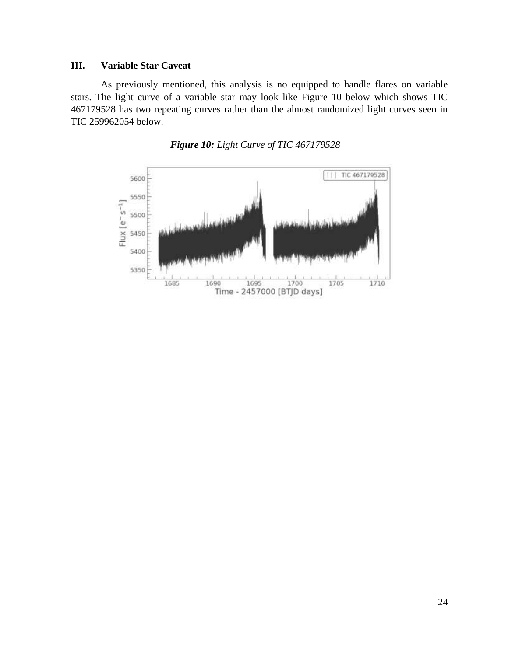## **III. Variable Star Caveat**

As previously mentioned, this analysis is no equipped to handle flares on variable stars. The light curve of a variable star may look like Figure 10 below which shows TIC 467179528 has two repeating curves rather than the almost randomized light curves seen in TIC 259962054 below.



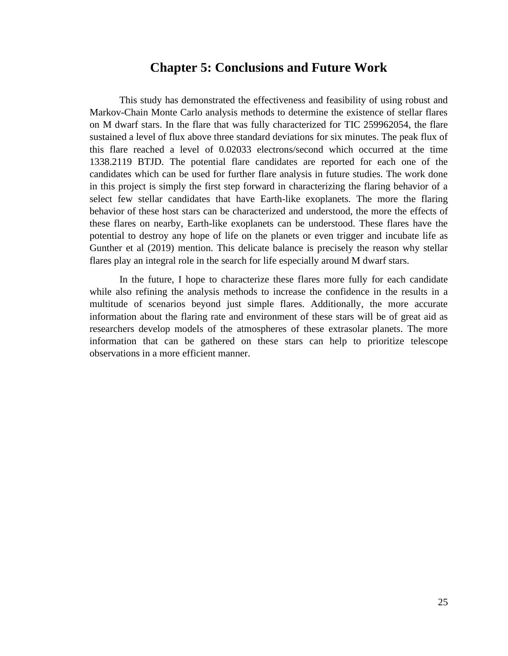# **Chapter 5: Conclusions and Future Work**

This study has demonstrated the effectiveness and feasibility of using robust and Markov-Chain Monte Carlo analysis methods to determine the existence of stellar flares on M dwarf stars. In the flare that was fully characterized for TIC 259962054, the flare sustained a level of flux above three standard deviations for six minutes. The peak flux of this flare reached a level of 0.02033 electrons/second which occurred at the time 1338.2119 BTJD. The potential flare candidates are reported for each one of the candidates which can be used for further flare analysis in future studies. The work done in this project is simply the first step forward in characterizing the flaring behavior of a select few stellar candidates that have Earth-like exoplanets. The more the flaring behavior of these host stars can be characterized and understood, the more the effects of these flares on nearby, Earth-like exoplanets can be understood. These flares have the potential to destroy any hope of life on the planets or even trigger and incubate life as Gunther et al (2019) mention. This delicate balance is precisely the reason why stellar flares play an integral role in the search for life especially around M dwarf stars.

In the future, I hope to characterize these flares more fully for each candidate while also refining the analysis methods to increase the confidence in the results in a multitude of scenarios beyond just simple flares. Additionally, the more accurate information about the flaring rate and environment of these stars will be of great aid as researchers develop models of the atmospheres of these extrasolar planets. The more information that can be gathered on these stars can help to prioritize telescope observations in a more efficient manner.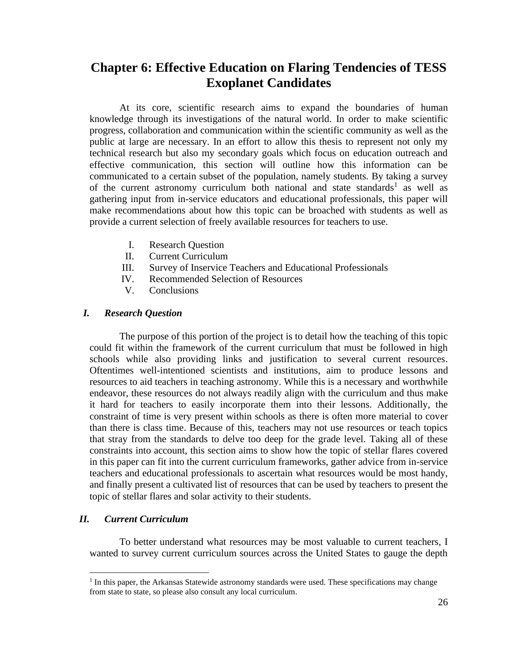# **Chapter 6: Effective Education on Flaring Tendencies of TESS Exoplanet Candidates**

At its core, scientific research aims to expand the boundaries of human knowledge through its investigations of the natural world. In order to make scientific progress, collaboration and communication within the scientific community as well as the public at large are necessary. In an effort to allow this thesis to represent not only my technical research but also my secondary goals which focus on education outreach and effective communication, this section will outline how this information can be communicated to a certain subset of the population, namely students. By taking a survey of the current astronomy curriculum both national and state standards<sup>1</sup> as well as gathering input from in-service educators and educational professionals, this paper will make recommendations about how this topic can be broached with students as well as provide a current selection of freely available resources for teachers to use.

- I. Research Question
- II. Current Curriculum
- III. Survey of Inservice Teachers and Educational Professionals
- IV. Recommended Selection of Resources
- V. Conclusions

#### *I. Research Question*

The purpose of this portion of the project is to detail how the teaching of this topic could fit within the framework of the current curriculum that must be followed in high schools while also providing links and justification to several current resources. Oftentimes well-intentioned scientists and institutions, aim to produce lessons and resources to aid teachers in teaching astronomy. While this is a necessary and worthwhile endeavor, these resources do not always readily align with the curriculum and thus make it hard for teachers to easily incorporate them into their lessons. Additionally, the constraint of time is very present within schools as there is often more material to cover than there is class time. Because of this, teachers may not use resources or teach topics that stray from the standards to delve too deep for the grade level. Taking all of these constraints into account, this section aims to show how the topic of stellar flares covered in this paper can fit into the current curriculum frameworks, gather advice from in-service teachers and educational professionals to ascertain what resources would be most handy, and finally present a cultivated list of resources that can be used by teachers to present the topic of stellar flares and solar activity to their students.

## *II. Current Curriculum*

To better understand what resources may be most valuable to current teachers, I wanted to survey current curriculum sources across the United States to gauge the depth

<sup>&</sup>lt;sup>1</sup> In this paper, the Arkansas Statewide astronomy standards were used. These specifications may change from state to state, so please also consult any local curriculum.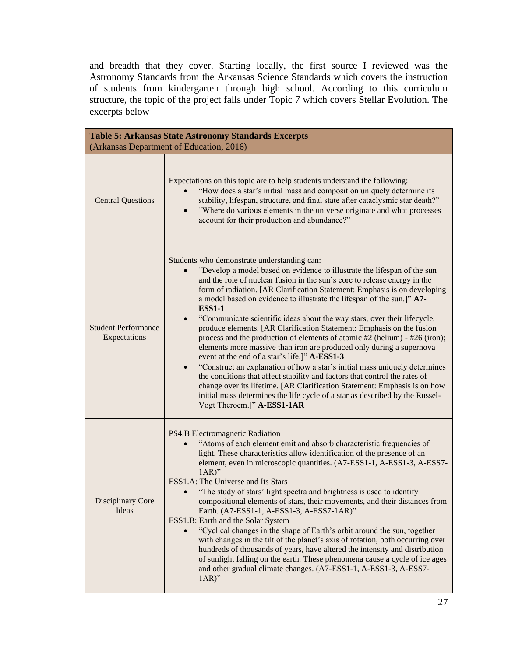and breadth that they cover. Starting locally, the first source I reviewed was the Astronomy Standards from the Arkansas Science Standards which covers the instruction of students from kindergarten through high school. According to this curriculum structure, the topic of the project falls under Topic 7 which covers Stellar Evolution. The excerpts below

| <b>Table 5: Arkansas State Astronomy Standards Excerpts</b><br>(Arkansas Department of Education, 2016) |                                                                                                                                                                                                                                                                                                                                                                                                                                                                                                                                                                                                                                                                                                                                                                                                                                                                                                                                                                                                                                                                                                                           |  |  |
|---------------------------------------------------------------------------------------------------------|---------------------------------------------------------------------------------------------------------------------------------------------------------------------------------------------------------------------------------------------------------------------------------------------------------------------------------------------------------------------------------------------------------------------------------------------------------------------------------------------------------------------------------------------------------------------------------------------------------------------------------------------------------------------------------------------------------------------------------------------------------------------------------------------------------------------------------------------------------------------------------------------------------------------------------------------------------------------------------------------------------------------------------------------------------------------------------------------------------------------------|--|--|
| <b>Central Questions</b>                                                                                | Expectations on this topic are to help students understand the following:<br>"How does a star's initial mass and composition uniquely determine its<br>stability, lifespan, structure, and final state after cataclysmic star death?"<br>"Where do various elements in the universe originate and what processes<br>$\bullet$<br>account for their production and abundance?"                                                                                                                                                                                                                                                                                                                                                                                                                                                                                                                                                                                                                                                                                                                                             |  |  |
| <b>Student Performance</b><br>Expectations                                                              | Students who demonstrate understanding can:<br>"Develop a model based on evidence to illustrate the lifespan of the sun<br>and the role of nuclear fusion in the sun's core to release energy in the<br>form of radiation. [AR Clarification Statement: Emphasis is on developing<br>a model based on evidence to illustrate the lifespan of the sun.]" A7-<br><b>ESS1-1</b><br>"Communicate scientific ideas about the way stars, over their lifecycle,<br>$\bullet$<br>produce elements. [AR Clarification Statement: Emphasis on the fusion<br>process and the production of elements of atomic #2 (helium) - #26 (iron);<br>elements more massive than iron are produced only during a supernova<br>event at the end of a star's life.]" A-ESS1-3<br>"Construct an explanation of how a star's initial mass uniquely determines<br>$\bullet$<br>the conditions that affect stability and factors that control the rates of<br>change over its lifetime. [AR Clarification Statement: Emphasis is on how<br>initial mass determines the life cycle of a star as described by the Russel-<br>Vogt Theroem.]" A-ESS1-1AR |  |  |
| Disciplinary Core<br>Ideas                                                                              | PS4.B Electromagnetic Radiation<br>"Atoms of each element emit and absorb characteristic frequencies of<br>light. These characteristics allow identification of the presence of an<br>element, even in microscopic quantities. (A7-ESS1-1, A-ESS1-3, A-ESS7-<br>$1AR)$ "<br>ESS1.A: The Universe and Its Stars<br>"The study of stars' light spectra and brightness is used to identify<br>compositional elements of stars, their movements, and their distances from<br>Earth. (A7-ESS1-1, A-ESS1-3, A-ESS7-1AR)"<br>ESS1.B: Earth and the Solar System<br>"Cyclical changes in the shape of Earth's orbit around the sun, together<br>with changes in the tilt of the planet's axis of rotation, both occurring over<br>hundreds of thousands of years, have altered the intensity and distribution<br>of sunlight falling on the earth. These phenomena cause a cycle of ice ages<br>and other gradual climate changes. (A7-ESS1-1, A-ESS1-3, A-ESS7-<br>$1AR)$ "                                                                                                                                                      |  |  |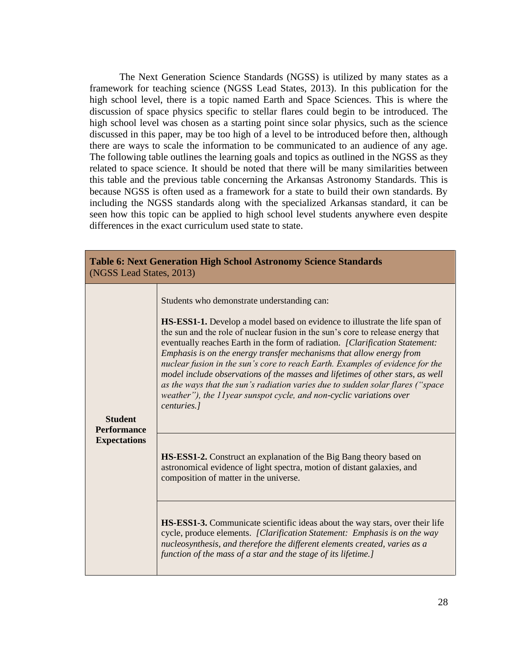The Next Generation Science Standards (NGSS) is utilized by many states as a framework for teaching science (NGSS Lead States, 2013). In this publication for the high school level, there is a topic named Earth and Space Sciences. This is where the discussion of space physics specific to stellar flares could begin to be introduced. The high school level was chosen as a starting point since solar physics, such as the science discussed in this paper, may be too high of a level to be introduced before then, although there are ways to scale the information to be communicated to an audience of any age. The following table outlines the learning goals and topics as outlined in the NGSS as they related to space science. It should be noted that there will be many similarities between this table and the previous table concerning the Arkansas Astronomy Standards. This is because NGSS is often used as a framework for a state to build their own standards. By including the NGSS standards along with the specialized Arkansas standard, it can be seen how this topic can be applied to high school level students anywhere even despite differences in the exact curriculum used state to state.

| <b>Table 6: Next Generation High School Astronomy Science Standards</b><br>(NGSS Lead States, 2013) |                                                                                                                                                                                                                                                                                                                                                                                                                                                                                                                                                                                                                                                                                                                          |  |  |  |
|-----------------------------------------------------------------------------------------------------|--------------------------------------------------------------------------------------------------------------------------------------------------------------------------------------------------------------------------------------------------------------------------------------------------------------------------------------------------------------------------------------------------------------------------------------------------------------------------------------------------------------------------------------------------------------------------------------------------------------------------------------------------------------------------------------------------------------------------|--|--|--|
| <b>Student</b><br><b>Performance</b><br><b>Expectations</b>                                         | Students who demonstrate understanding can:<br><b>HS-ESS1-1.</b> Develop a model based on evidence to illustrate the life span of<br>the sun and the role of nuclear fusion in the sun's core to release energy that<br>eventually reaches Earth in the form of radiation. [Clarification Statement:<br>Emphasis is on the energy transfer mechanisms that allow energy from<br>nuclear fusion in the sun's core to reach Earth. Examples of evidence for the<br>model include observations of the masses and lifetimes of other stars, as well<br>as the ways that the sun's radiation varies due to sudden solar flares ("space"<br>weather"), the 11year sunspot cycle, and non-cyclic variations over<br>centuries.] |  |  |  |
|                                                                                                     | HS-ESS1-2. Construct an explanation of the Big Bang theory based on<br>astronomical evidence of light spectra, motion of distant galaxies, and<br>composition of matter in the universe.                                                                                                                                                                                                                                                                                                                                                                                                                                                                                                                                 |  |  |  |
|                                                                                                     | <b>HS-ESS1-3.</b> Communicate scientific ideas about the way stars, over their life<br>cycle, produce elements. [Clarification Statement: Emphasis is on the way<br>nucleosynthesis, and therefore the different elements created, varies as a<br>function of the mass of a star and the stage of its lifetime.]                                                                                                                                                                                                                                                                                                                                                                                                         |  |  |  |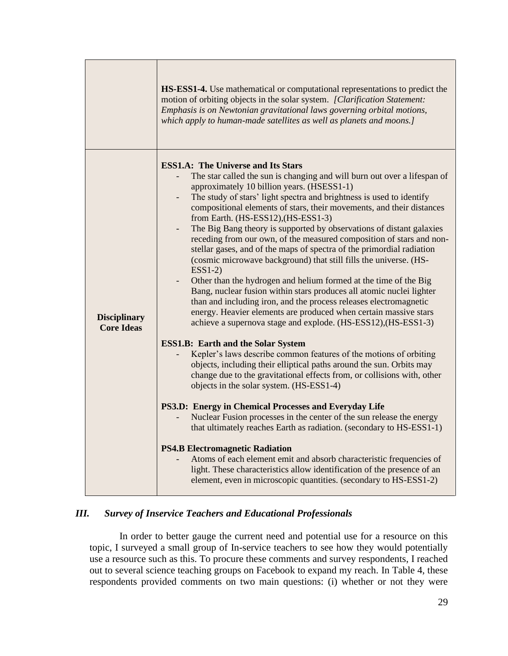|                                          | <b>HS-ESS1-4.</b> Use mathematical or computational representations to predict the<br>motion of orbiting objects in the solar system. [Clarification Statement:<br>Emphasis is on Newtonian gravitational laws governing orbital motions,<br>which apply to human-made satellites as well as planets and moons.]                                                                                                                                                                                                                                                                                                                                                                                                                                                                                                                                                                                                                                                                                                                                                                                                                                                                                                                                                                                                                                                                                                                                                                                                                                                                                                                                                                                                                                                                                                         |
|------------------------------------------|--------------------------------------------------------------------------------------------------------------------------------------------------------------------------------------------------------------------------------------------------------------------------------------------------------------------------------------------------------------------------------------------------------------------------------------------------------------------------------------------------------------------------------------------------------------------------------------------------------------------------------------------------------------------------------------------------------------------------------------------------------------------------------------------------------------------------------------------------------------------------------------------------------------------------------------------------------------------------------------------------------------------------------------------------------------------------------------------------------------------------------------------------------------------------------------------------------------------------------------------------------------------------------------------------------------------------------------------------------------------------------------------------------------------------------------------------------------------------------------------------------------------------------------------------------------------------------------------------------------------------------------------------------------------------------------------------------------------------------------------------------------------------------------------------------------------------|
| <b>Disciplinary</b><br><b>Core Ideas</b> | <b>ESS1.A: The Universe and Its Stars</b><br>The star called the sun is changing and will burn out over a lifespan of<br>approximately 10 billion years. (HSESS1-1)<br>The study of stars' light spectra and brightness is used to identify<br>compositional elements of stars, their movements, and their distances<br>from Earth. (HS-ESS12), (HS-ESS1-3)<br>The Big Bang theory is supported by observations of distant galaxies<br>receding from our own, of the measured composition of stars and non-<br>stellar gases, and of the maps of spectra of the primordial radiation<br>(cosmic microwave background) that still fills the universe. (HS-<br>$ESS1-2)$<br>Other than the hydrogen and helium formed at the time of the Big<br>Bang, nuclear fusion within stars produces all atomic nuclei lighter<br>than and including iron, and the process releases electromagnetic<br>energy. Heavier elements are produced when certain massive stars<br>achieve a supernova stage and explode. (HS-ESS12), (HS-ESS1-3)<br><b>ESS1.B: Earth and the Solar System</b><br>Kepler's laws describe common features of the motions of orbiting<br>objects, including their elliptical paths around the sun. Orbits may<br>change due to the gravitational effects from, or collisions with, other<br>objects in the solar system. (HS-ESS1-4)<br>PS3.D: Energy in Chemical Processes and Everyday Life<br>Nuclear Fusion processes in the center of the sun release the energy<br>that ultimately reaches Earth as radiation. (secondary to HS-ESS1-1)<br><b>PS4.B Electromagnetic Radiation</b><br>Atoms of each element emit and absorb characteristic frequencies of<br>light. These characteristics allow identification of the presence of an<br>element, even in microscopic quantities. (secondary to HS-ESS1-2) |

## *III. Survey of Inservice Teachers and Educational Professionals*

In order to better gauge the current need and potential use for a resource on this topic, I surveyed a small group of In-service teachers to see how they would potentially use a resource such as this. To procure these comments and survey respondents, I reached out to several science teaching groups on Facebook to expand my reach. In Table 4, these respondents provided comments on two main questions: (i) whether or not they were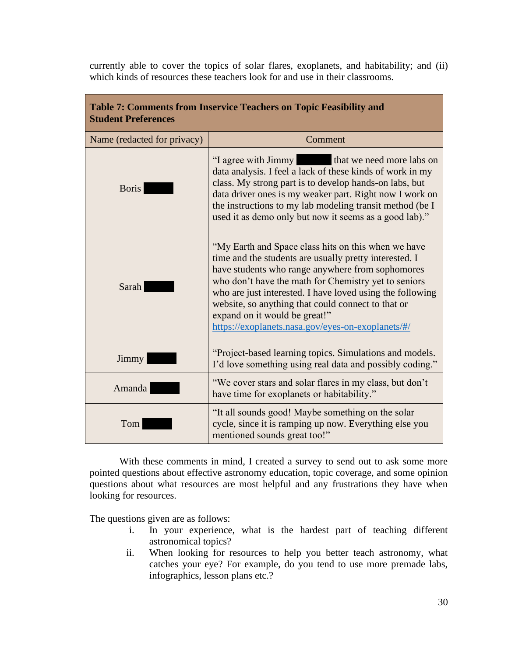currently able to cover the topics of solar flares, exoplanets, and habitability; and (ii) which kinds of resources these teachers look for and use in their classrooms.

| Table 7: Comments from Inservice Teachers on Topic Feasibility and<br><b>Student Preferences</b> |                                                                                                                                                                                                                                                                                                                                                                                                                                    |  |  |
|--------------------------------------------------------------------------------------------------|------------------------------------------------------------------------------------------------------------------------------------------------------------------------------------------------------------------------------------------------------------------------------------------------------------------------------------------------------------------------------------------------------------------------------------|--|--|
| Name (redacted for privacy)                                                                      | Comment                                                                                                                                                                                                                                                                                                                                                                                                                            |  |  |
| <b>Boris</b>                                                                                     | that we need more labs on<br>"I agree with Jimmy<br>data analysis. I feel a lack of these kinds of work in my<br>class. My strong part is to develop hands-on labs, but<br>data driver ones is my weaker part. Right now I work on<br>the instructions to my lab modeling transit method (be I<br>used it as demo only but now it seems as a good lab)."                                                                           |  |  |
| <b>Sarah</b>                                                                                     | "My Earth and Space class hits on this when we have<br>time and the students are usually pretty interested. I<br>have students who range anywhere from sophomores<br>who don't have the math for Chemistry yet to seniors<br>who are just interested. I have loved using the following<br>website, so anything that could connect to that or<br>expand on it would be great!"<br>https://exoplanets.nasa.gov/eyes-on-exoplanets/#/ |  |  |
| Jimmy                                                                                            | "Project-based learning topics. Simulations and models.<br>I'd love something using real data and possibly coding."                                                                                                                                                                                                                                                                                                                |  |  |
| Amanda                                                                                           | "We cover stars and solar flares in my class, but don't<br>have time for exoplanets or habitability."                                                                                                                                                                                                                                                                                                                              |  |  |
| Tom                                                                                              | "It all sounds good! Maybe something on the solar<br>cycle, since it is ramping up now. Everything else you<br>mentioned sounds great too!"                                                                                                                                                                                                                                                                                        |  |  |

With these comments in mind, I created a survey to send out to ask some more pointed questions about effective astronomy education, topic coverage, and some opinion questions about what resources are most helpful and any frustrations they have when looking for resources.

The questions given are as follows:

- i. In your experience, what is the hardest part of teaching different astronomical topics?
- ii. When looking for resources to help you better teach astronomy, what catches your eye? For example, do you tend to use more premade labs, infographics, lesson plans etc.?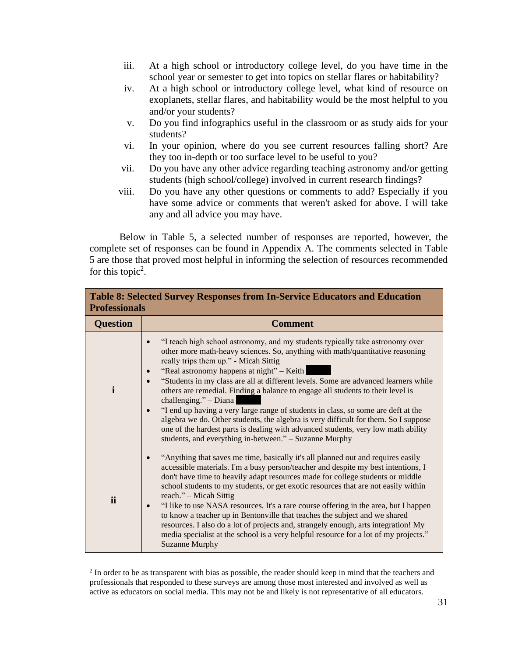- iii. At a high school or introductory college level, do you have time in the school year or semester to get into topics on stellar flares or habitability?
- iv. At a high school or introductory college level, what kind of resource on exoplanets, stellar flares, and habitability would be the most helpful to you and/or your students?
- v. Do you find infographics useful in the classroom or as study aids for your students?
- vi. In your opinion, where do you see current resources falling short? Are they too in-depth or too surface level to be useful to you?
- vii. Do you have any other advice regarding teaching astronomy and/or getting students (high school/college) involved in current research findings?
- viii. Do you have any other questions or comments to add? Especially if you have some advice or comments that weren't asked for above. I will take any and all advice you may have.

Below in Table 5, a selected number of responses are reported, however, the complete set of responses can be found in Appendix A. The comments selected in Table 5 are those that proved most helpful in informing the selection of resources recommended for this topic<sup>2</sup>.

| <b>Table 8: Selected Survey Responses from In-Service Educators and Education</b><br><b>Professionals</b> |                                                                                                                                                                                                                                                                                                                                                                                                                                                                                                                                                                                                                                                                                                                                                                                    |  |
|-----------------------------------------------------------------------------------------------------------|------------------------------------------------------------------------------------------------------------------------------------------------------------------------------------------------------------------------------------------------------------------------------------------------------------------------------------------------------------------------------------------------------------------------------------------------------------------------------------------------------------------------------------------------------------------------------------------------------------------------------------------------------------------------------------------------------------------------------------------------------------------------------------|--|
| <b>Question</b>                                                                                           | <b>Comment</b>                                                                                                                                                                                                                                                                                                                                                                                                                                                                                                                                                                                                                                                                                                                                                                     |  |
| $\mathbf i$                                                                                               | "I teach high school astronomy, and my students typically take astronomy over<br>other more math-heavy sciences. So, anything with math/quantitative reasoning<br>really trips them up." - Micah Sittig<br>"Real astronomy happens at night" – Keith<br>"Students in my class are all at different levels. Some are advanced learners while<br>others are remedial. Finding a balance to engage all students to their level is<br>challenging." - Diana<br>"I end up having a very large range of students in class, so some are deft at the<br>algebra we do. Other students, the algebra is very difficult for them. So I suppose<br>one of the hardest parts is dealing with advanced students, very low math ability<br>students, and everything in-between." - Suzanne Murphy |  |
| ii                                                                                                        | "Anything that saves me time, basically it's all planned out and requires easily<br>accessible materials. I'm a busy person/teacher and despite my best intentions, I<br>don't have time to heavily adapt resources made for college students or middle<br>school students to my students, or get exotic resources that are not easily within<br>reach." – Micah Sittig<br>"I like to use NASA resources. It's a rare course offering in the area, but I happen<br>$\bullet$<br>to know a teacher up in Bentonville that teaches the subject and we shared<br>resources. I also do a lot of projects and, strangely enough, arts integration! My<br>media specialist at the school is a very helpful resource for a lot of my projects." –<br><b>Suzanne Murphy</b>                |  |

<sup>&</sup>lt;sup>2</sup> In order to be as transparent with bias as possible, the reader should keep in mind that the teachers and professionals that responded to these surveys are among those most interested and involved as well as active as educators on social media. This may not be and likely is not representative of all educators.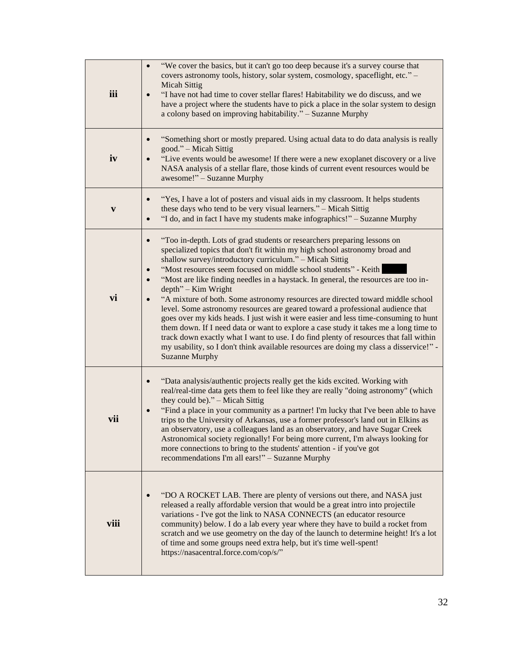| iii  | "We cover the basics, but it can't go too deep because it's a survey course that<br>covers astronomy tools, history, solar system, cosmology, spaceflight, etc." -<br><b>Micah Sittig</b><br>"I have not had time to cover stellar flares! Habitability we do discuss, and we<br>have a project where the students have to pick a place in the solar system to design<br>a colony based on improving habitability." - Suzanne Murphy                                                                                                                                                                                                                                                                                                                                                                                                                                                                                                                                  |
|------|-----------------------------------------------------------------------------------------------------------------------------------------------------------------------------------------------------------------------------------------------------------------------------------------------------------------------------------------------------------------------------------------------------------------------------------------------------------------------------------------------------------------------------------------------------------------------------------------------------------------------------------------------------------------------------------------------------------------------------------------------------------------------------------------------------------------------------------------------------------------------------------------------------------------------------------------------------------------------|
| iv   | "Something short or mostly prepared. Using actual data to do data analysis is really<br>good." - Micah Sittig<br>"Live events would be awesome! If there were a new exoplanet discovery or a live<br>NASA analysis of a stellar flare, those kinds of current event resources would be<br>awesome!" - Suzanne Murphy                                                                                                                                                                                                                                                                                                                                                                                                                                                                                                                                                                                                                                                  |
| V    | "Yes, I have a lot of posters and visual aids in my classroom. It helps students<br>these days who tend to be very visual learners." - Micah Sittig<br>"I do, and in fact I have my students make infographics!" - Suzanne Murphy                                                                                                                                                                                                                                                                                                                                                                                                                                                                                                                                                                                                                                                                                                                                     |
| vi   | "Too in-depth. Lots of grad students or researchers preparing lessons on<br>specialized topics that don't fit within my high school astronomy broad and<br>shallow survey/introductory curriculum." - Micah Sittig<br>"Most resources seem focused on middle school students" - Keith<br>"Most are like finding needles in a haystack. In general, the resources are too in-<br>$depth$ " – Kim Wright<br>"A mixture of both. Some astronomy resources are directed toward middle school<br>level. Some astronomy resources are geared toward a professional audience that<br>goes over my kids heads. I just wish it were easier and less time-consuming to hunt<br>them down. If I need data or want to explore a case study it takes me a long time to<br>track down exactly what I want to use. I do find plenty of resources that fall within<br>my usability, so I don't think available resources are doing my class a disservice!" -<br><b>Suzanne Murphy</b> |
| vii  | "Data analysis/authentic projects really get the kids excited. Working with<br>real/real-time data gets them to feel like they are really "doing astronomy" (which<br>they could be)." - Micah Sittig<br>"Find a place in your community as a partner! I'm lucky that I've been able to have<br>trips to the University of Arkansas, use a former professor's land out in Elkins as<br>an observatory, use a colleagues land as an observatory, and have Sugar Creek<br>Astronomical society regionally! For being more current, I'm always looking for<br>more connections to bring to the students' attention - if you've got<br>recommendations I'm all ears!" - Suzanne Murphy                                                                                                                                                                                                                                                                                    |
| viii | "DO A ROCKET LAB. There are plenty of versions out there, and NASA just<br>released a really affordable version that would be a great intro into projectile<br>variations - I've got the link to NASA CONNECTS (an educator resource<br>community) below. I do a lab every year where they have to build a rocket from<br>scratch and we use geometry on the day of the launch to determine height! It's a lot<br>of time and some groups need extra help, but it's time well-spent!<br>https://nasacentral.force.com/cop/s/"                                                                                                                                                                                                                                                                                                                                                                                                                                         |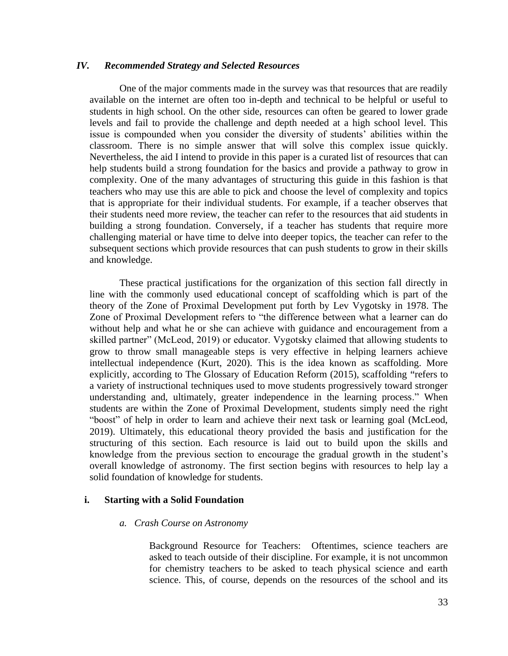#### *IV. Recommended Strategy and Selected Resources*

One of the major comments made in the survey was that resources that are readily available on the internet are often too in-depth and technical to be helpful or useful to students in high school. On the other side, resources can often be geared to lower grade levels and fail to provide the challenge and depth needed at a high school level. This issue is compounded when you consider the diversity of students' abilities within the classroom. There is no simple answer that will solve this complex issue quickly. Nevertheless, the aid I intend to provide in this paper is a curated list of resources that can help students build a strong foundation for the basics and provide a pathway to grow in complexity. One of the many advantages of structuring this guide in this fashion is that teachers who may use this are able to pick and choose the level of complexity and topics that is appropriate for their individual students. For example, if a teacher observes that their students need more review, the teacher can refer to the resources that aid students in building a strong foundation. Conversely, if a teacher has students that require more challenging material or have time to delve into deeper topics, the teacher can refer to the subsequent sections which provide resources that can push students to grow in their skills and knowledge.

These practical justifications for the organization of this section fall directly in line with the commonly used educational concept of scaffolding which is part of the theory of the Zone of Proximal Development put forth by Lev Vygotsky in 1978. The Zone of Proximal Development refers to "the difference between what a learner can do without help and what he or she can achieve with guidance and encouragement from a skilled partner" (McLeod, 2019) or educator. Vygotsky claimed that allowing students to grow to throw small manageable steps is very effective in helping learners achieve intellectual independence (Kurt, 2020). This is the idea known as scaffolding. More explicitly, according to The Glossary of Education Reform (2015), scaffolding **"**refers to a variety of instructional techniques used to move students progressively toward stronger understanding and, ultimately, greater independence in the learning process." When students are within the Zone of Proximal Development, students simply need the right "boost" of help in order to learn and achieve their next task or learning goal (McLeod, 2019). Ultimately, this educational theory provided the basis and justification for the structuring of this section. Each resource is laid out to build upon the skills and knowledge from the previous section to encourage the gradual growth in the student's overall knowledge of astronomy. The first section begins with resources to help lay a solid foundation of knowledge for students.

#### **i. Starting with a Solid Foundation**

#### *a. Crash Course on Astronomy*

Background Resource for Teachers: Oftentimes, science teachers are asked to teach outside of their discipline. For example, it is not uncommon for chemistry teachers to be asked to teach physical science and earth science. This, of course, depends on the resources of the school and its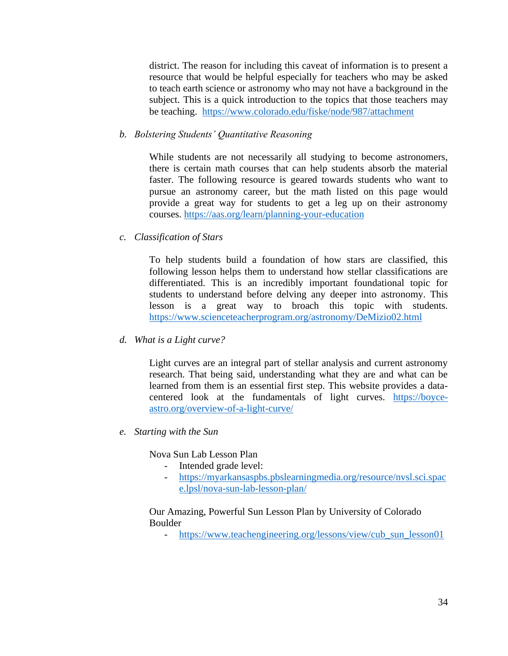district. The reason for including this caveat of information is to present a resource that would be helpful especially for teachers who may be asked to teach earth science or astronomy who may not have a background in the subject. This is a quick introduction to the topics that those teachers may be teaching. <https://www.colorado.edu/fiske/node/987/attachment>

### *b. Bolstering Students' Quantitative Reasoning*

While students are not necessarily all studying to become astronomers, there is certain math courses that can help students absorb the material faster. The following resource is geared towards students who want to pursue an astronomy career, but the math listed on this page would provide a great way for students to get a leg up on their astronomy courses.<https://aas.org/learn/planning-your-education>

#### *c. Classification of Stars*

To help students build a foundation of how stars are classified, this following lesson helps them to understand how stellar classifications are differentiated. This is an incredibly important foundational topic for students to understand before delving any deeper into astronomy. This lesson is a great way to broach this topic with students. <https://www.scienceteacherprogram.org/astronomy/DeMizio02.html>

#### *d. What is a Light curve?*

Light curves are an integral part of stellar analysis and current astronomy research. That being said, understanding what they are and what can be learned from them is an essential first step. This website provides a datacentered look at the fundamentals of light curves. [https://boyce](https://boyce-astro.org/overview-of-a-light-curve/)[astro.org/overview-of-a-light-curve/](https://boyce-astro.org/overview-of-a-light-curve/)

*e. Starting with the Sun*

Nova Sun Lab Lesson Plan

- Intended grade level:
- [https://myarkansaspbs.pbslearningmedia.org/resource/nvsl.sci.spac](https://myarkansaspbs.pbslearningmedia.org/resource/nvsl.sci.space.lpsl/nova-sun-lab-lesson-plan/) [e.lpsl/nova-sun-lab-lesson-plan/](https://myarkansaspbs.pbslearningmedia.org/resource/nvsl.sci.space.lpsl/nova-sun-lab-lesson-plan/)

#### Our Amazing, Powerful Sun Lesson Plan by University of Colorado Boulder

- https://www.teachengineering.org/lessons/view/cub sun lesson01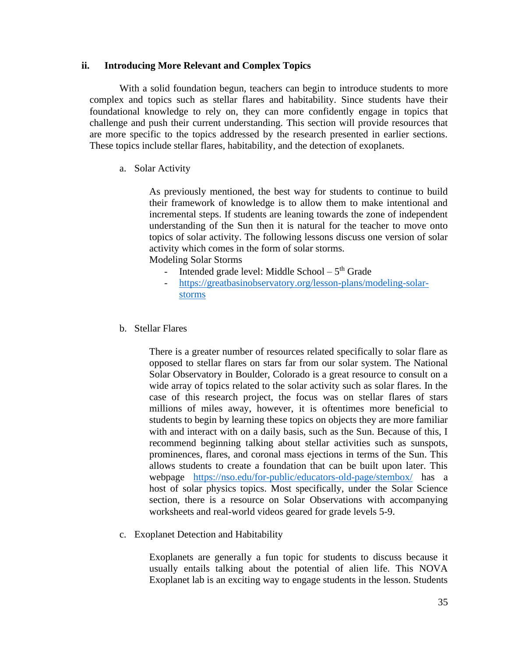### **ii. Introducing More Relevant and Complex Topics**

With a solid foundation begun, teachers can begin to introduce students to more complex and topics such as stellar flares and habitability. Since students have their foundational knowledge to rely on, they can more confidently engage in topics that challenge and push their current understanding. This section will provide resources that are more specific to the topics addressed by the research presented in earlier sections. These topics include stellar flares, habitability, and the detection of exoplanets.

## a. Solar Activity

As previously mentioned, the best way for students to continue to build their framework of knowledge is to allow them to make intentional and incremental steps. If students are leaning towards the zone of independent understanding of the Sun then it is natural for the teacher to move onto topics of solar activity. The following lessons discuss one version of solar activity which comes in the form of solar storms.

Modeling Solar Storms

- Intended grade level: Middle School  $-5<sup>th</sup>$  Grade
- [https://greatbasinobservatory.org/lesson-plans/modeling-solar](https://greatbasinobservatory.org/lesson-plans/modeling-solar-storms)[storms](https://greatbasinobservatory.org/lesson-plans/modeling-solar-storms)
- b. Stellar Flares

There is a greater number of resources related specifically to solar flare as opposed to stellar flares on stars far from our solar system. The National Solar Observatory in Boulder, Colorado is a great resource to consult on a wide array of topics related to the solar activity such as solar flares. In the case of this research project, the focus was on stellar flares of stars millions of miles away, however, it is oftentimes more beneficial to students to begin by learning these topics on objects they are more familiar with and interact with on a daily basis, such as the Sun. Because of this, I recommend beginning talking about stellar activities such as sunspots, prominences, flares, and coronal mass ejections in terms of the Sun. This allows students to create a foundation that can be built upon later. This webpage <https://nso.edu/for-public/educators-old-page/stembox/> has a host of solar physics topics. Most specifically, under the Solar Science section, there is a resource on Solar Observations with accompanying worksheets and real-world videos geared for grade levels 5-9.

c. Exoplanet Detection and Habitability

Exoplanets are generally a fun topic for students to discuss because it usually entails talking about the potential of alien life. This NOVA Exoplanet lab is an exciting way to engage students in the lesson. Students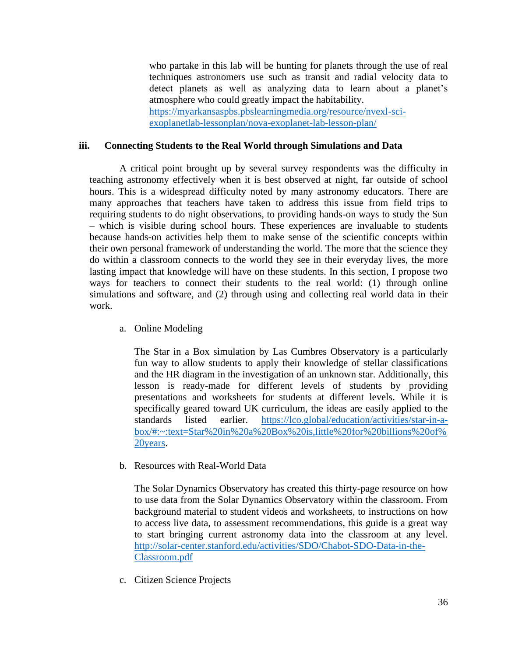who partake in this lab will be hunting for planets through the use of real techniques astronomers use such as transit and radial velocity data to detect planets as well as analyzing data to learn about a planet's atmosphere who could greatly impact the habitability. [https://myarkansaspbs.pbslearningmedia.org/resource/nvexl-sci](https://myarkansaspbs.pbslearningmedia.org/resource/nvexl-sci-exoplanetlab-lessonplan/nova-exoplanet-lab-lesson-plan/)[exoplanetlab-lessonplan/nova-exoplanet-lab-lesson-plan/](https://myarkansaspbs.pbslearningmedia.org/resource/nvexl-sci-exoplanetlab-lessonplan/nova-exoplanet-lab-lesson-plan/)

## **iii. Connecting Students to the Real World through Simulations and Data**

A critical point brought up by several survey respondents was the difficulty in teaching astronomy effectively when it is best observed at night, far outside of school hours. This is a widespread difficulty noted by many astronomy educators. There are many approaches that teachers have taken to address this issue from field trips to requiring students to do night observations, to providing hands-on ways to study the Sun – which is visible during school hours. These experiences are invaluable to students because hands-on activities help them to make sense of the scientific concepts within their own personal framework of understanding the world. The more that the science they do within a classroom connects to the world they see in their everyday lives, the more lasting impact that knowledge will have on these students. In this section, I propose two ways for teachers to connect their students to the real world: (1) through online simulations and software, and (2) through using and collecting real world data in their work.

a. Online Modeling

The Star in a Box simulation by Las Cumbres Observatory is a particularly fun way to allow students to apply their knowledge of stellar classifications and the HR diagram in the investigation of an unknown star. Additionally, this lesson is ready-made for different levels of students by providing presentations and worksheets for students at different levels. While it is specifically geared toward UK curriculum, the ideas are easily applied to the standards listed earlier. [https://lco.global/education/activities/star-in-a](https://lco.global/education/activities/star-in-a-box/#:~:text=Star%20in%20a%20Box%20is,little%20for%20billions%20of%20years)[box/#:~:text=Star%20in%20a%20Box%20is,little%20for%20billions%20of%](https://lco.global/education/activities/star-in-a-box/#:~:text=Star%20in%20a%20Box%20is,little%20for%20billions%20of%20years) [20years.](https://lco.global/education/activities/star-in-a-box/#:~:text=Star%20in%20a%20Box%20is,little%20for%20billions%20of%20years)

b. Resources with Real-World Data

The Solar Dynamics Observatory has created this thirty-page resource on how to use data from the Solar Dynamics Observatory within the classroom. From background material to student videos and worksheets, to instructions on how to access live data, to assessment recommendations, this guide is a great way to start bringing current astronomy data into the classroom at any level. [http://solar-center.stanford.edu/activities/SDO/Chabot-SDO-Data-in-the-](http://solar-center.stanford.edu/activities/SDO/Chabot-SDO-Data-in-the-Classroom.pdf)[Classroom.pdf](http://solar-center.stanford.edu/activities/SDO/Chabot-SDO-Data-in-the-Classroom.pdf)

c. Citizen Science Projects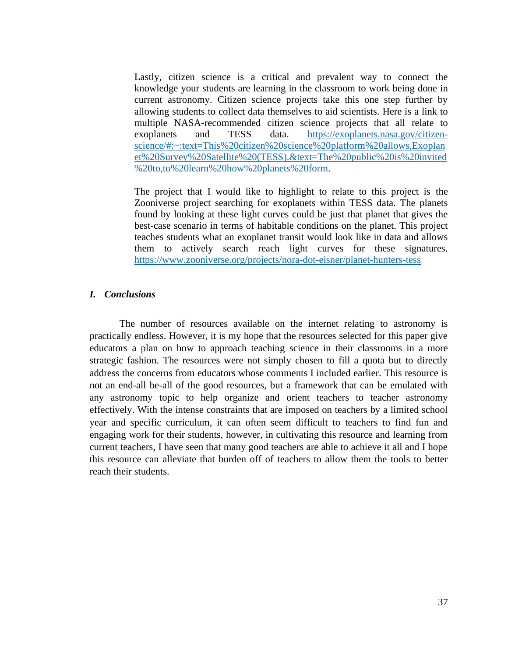Lastly, citizen science is a critical and prevalent way to connect the knowledge your students are learning in the classroom to work being done in current astronomy. Citizen science projects take this one step further by allowing students to collect data themselves to aid scientists. Here is a link to multiple NASA-recommended citizen science projects that all relate to exoplanets and TESS data. [https://exoplanets.nasa.gov/citizen](https://exoplanets.nasa.gov/citizen-science/#:~:text=This%20citizen%20science%20platform%20allows,Exoplanet%20Survey%20Satellite%20(TESS).&text=The%20public%20is%20invited%20to,to%20learn%20how%20planets%20form)[science/#:~:text=This%20citizen%20science%20platform%20allows,Exoplan](https://exoplanets.nasa.gov/citizen-science/#:~:text=This%20citizen%20science%20platform%20allows,Exoplanet%20Survey%20Satellite%20(TESS).&text=The%20public%20is%20invited%20to,to%20learn%20how%20planets%20form) [et%20Survey%20Satellite%20\(TESS\).&text=The%20public%20is%20invited](https://exoplanets.nasa.gov/citizen-science/#:~:text=This%20citizen%20science%20platform%20allows,Exoplanet%20Survey%20Satellite%20(TESS).&text=The%20public%20is%20invited%20to,to%20learn%20how%20planets%20form) [%20to,to%20learn%20how%20planets%20form.](https://exoplanets.nasa.gov/citizen-science/#:~:text=This%20citizen%20science%20platform%20allows,Exoplanet%20Survey%20Satellite%20(TESS).&text=The%20public%20is%20invited%20to,to%20learn%20how%20planets%20form)

The project that I would like to highlight to relate to this project is the Zooniverse project searching for exoplanets within TESS data. The planets found by looking at these light curves could be just that planet that gives the best-case scenario in terms of habitable conditions on the planet. This project teaches students what an exoplanet transit would look like in data and allows them to actively search reach light curves for these signatures. <https://www.zooniverse.org/projects/nora-dot-eisner/planet-hunters-tess>

#### *I. Conclusions*

The number of resources available on the internet relating to astronomy is practically endless. However, it is my hope that the resources selected for this paper give educators a plan on how to approach teaching science in their classrooms in a more strategic fashion. The resources were not simply chosen to fill a quota but to directly address the concerns from educators whose comments I included earlier. This resource is not an end-all be-all of the good resources, but a framework that can be emulated with any astronomy topic to help organize and orient teachers to teacher astronomy effectively. With the intense constraints that are imposed on teachers by a limited school year and specific curriculum, it can often seem difficult to teachers to find fun and engaging work for their students, however, in cultivating this resource and learning from current teachers, I have seen that many good teachers are able to achieve it all and I hope this resource can alleviate that burden off of teachers to allow them the tools to better reach their students.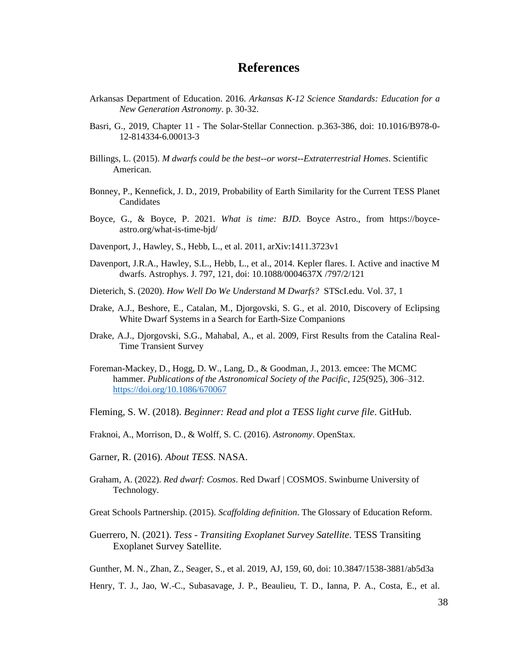# **References**

- Arkansas Department of Education. 2016. *Arkansas K-12 Science Standards: Education for a New Generation Astronomy*. p. 30-32.
- Basri, G., 2019, Chapter 11 The Solar-Stellar Connection. p.363-386, doi: 10.1016/B978-0- 12-814334-6.00013-3
- Billings, L. (2015). *M dwarfs could be the best--or worst--Extraterrestrial Homes*. Scientific American.
- Bonney, P., Kennefick, J. D., 2019, Probability of Earth Similarity for the Current TESS Planet Candidates
- Boyce, G., & Boyce, P. 2021. *What is time: BJD*. Boyce Astro., from https://boyceastro.org/what-is-time-bjd/
- Davenport, J., Hawley, S., Hebb, L., et al. 2011, arXiv:1411.3723v1
- Davenport, J.R.A., Hawley, S.L., Hebb, L., et al., 2014. Kepler flares. I. Active and inactive M dwarfs. Astrophys. J. 797, 121, doi: 10.1088/0004637X /797/2/121
- Dieterich, S. (2020). *How Well Do We Understand M Dwarfs?* STScI.edu. Vol. 37, 1
- Drake, A.J., Beshore, E., Catalan, M., Djorgovski, S. G., et al. 2010, Discovery of Eclipsing White Dwarf Systems in a Search for Earth-Size Companions
- Drake, A.J., Djorgovski, S.G., Mahabal, A., et al. 2009, First Results from the Catalina Real-Time Transient Survey
- Foreman-Mackey, D., Hogg, D. W., Lang, D., & Goodman, J., 2013. emcee: The MCMC hammer. *Publications of the Astronomical Society of the Pacific*, *125*(925), 306–312. <https://doi.org/10.1086/670067>
- Fleming, S. W. (2018). *Beginner: Read and plot a TESS light curve file*. GitHub.
- Fraknoi, A., Morrison, D., & Wolff, S. C. (2016). *Astronomy*. OpenStax.
- Garner, R. (2016). *About TESS*. NASA.
- Graham, A. (2022). *Red dwarf: Cosmos*. Red Dwarf | COSMOS. Swinburne University of Technology.

Great Schools Partnership. (2015). *Scaffolding definition*. The Glossary of Education Reform.

Guerrero, N. (2021). *Tess - Transiting Exoplanet Survey Satellite*. TESS Transiting Exoplanet Survey Satellite.

Gunther, M. N., Zhan, Z., Seager, S., et al. 2019, AJ, 159, 60, doi: 10.3847/1538-3881/ab5d3a

Henry, T. J., Jao, W.-C., Subasavage, J. P., Beaulieu, T. D., Ianna, P. A., Costa, E., et al.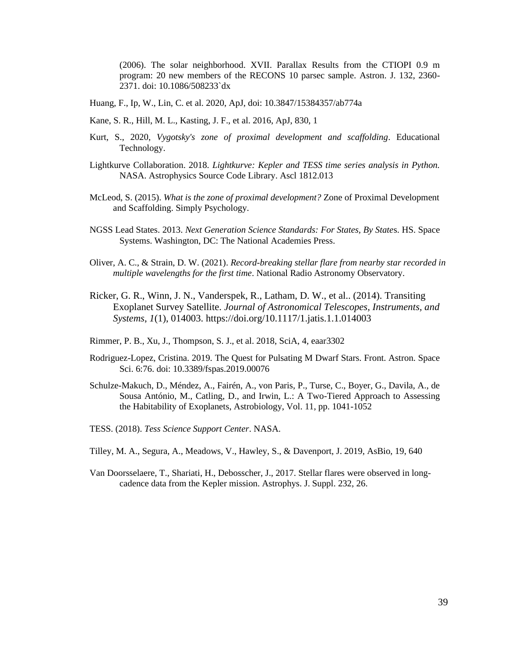(2006). The solar neighborhood. XVII. Parallax Results from the CTIOPI 0.9 m program: 20 new members of the RECONS 10 parsec sample. Astron. J. 132, 2360- 2371. doi: 10.1086/508233`dx

- Huang, F., Ip, W., Lin, C. et al. 2020, ApJ, doi: 10.3847/15384357/ab774a
- Kane, S. R., Hill, M. L., Kasting, J. F., et al. 2016, ApJ, 830, 1
- Kurt, S., 2020, *Vygotsky's zone of proximal development and scaffolding*. Educational Technology.
- Lightkurve Collaboration. 2018. *Lightkurve: Kepler and TESS time series analysis in Python.*  NASA. Astrophysics Source Code Library. Ascl 1812.013
- McLeod, S. (2015). *What is the zone of proximal development?* Zone of Proximal Development and Scaffolding. Simply Psychology.
- NGSS Lead States. 2013. *Next Generation Science Standards: For States, By State*s. HS. Space Systems. Washington, DC: The National Academies Press.
- Oliver, A. C., & Strain, D. W. (2021). *Record-breaking stellar flare from nearby star recorded in multiple wavelengths for the first time*. National Radio Astronomy Observatory.
- Ricker, G. R., Winn, J. N., Vanderspek, R., Latham, D. W., et al.. (2014). Transiting Exoplanet Survey Satellite. *Journal of Astronomical Telescopes, Instruments, and Systems*, *1*(1), 014003. https://doi.org/10.1117/1.jatis.1.1.014003
- Rimmer, P. B., Xu, J., Thompson, S. J., et al. 2018, SciA, 4, eaar3302
- Rodriguez-Lopez, Cristina. 2019. The Quest for Pulsating M Dwarf Stars. Front. Astron. Space Sci. 6:76. doi: 10.3389/fspas.2019.00076
- Schulze-Makuch, D., Méndez, A., Fairén, A., von Paris, P., Turse, C., Boyer, G., Davila, A., de Sousa António, M., Catling, D., and Irwin, L.: A Two-Tiered Approach to Assessing the Habitability of Exoplanets, Astrobiology, Vol. 11, pp. 1041-1052
- TESS. (2018). *Tess Science Support Center*. NASA.
- Tilley, M. A., Segura, A., Meadows, V., Hawley, S., & Davenport, J. 2019, AsBio, 19, 640
- Van Doorsselaere, T., Shariati, H., Debosscher, J., 2017. Stellar flares were observed in longcadence data from the Kepler mission. Astrophys. J. Suppl. 232, 26.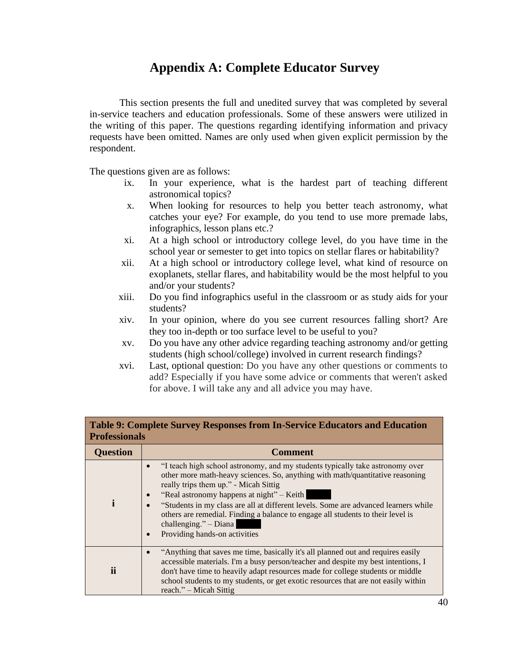# **Appendix A: Complete Educator Survey**

This section presents the full and unedited survey that was completed by several in-service teachers and education professionals. Some of these answers were utilized in the writing of this paper. The questions regarding identifying information and privacy requests have been omitted. Names are only used when given explicit permission by the respondent.

The questions given are as follows:

- ix. In your experience, what is the hardest part of teaching different astronomical topics?
- x. When looking for resources to help you better teach astronomy, what catches your eye? For example, do you tend to use more premade labs, infographics, lesson plans etc.?
- xi. At a high school or introductory college level, do you have time in the school year or semester to get into topics on stellar flares or habitability?
- xii. At a high school or introductory college level, what kind of resource on exoplanets, stellar flares, and habitability would be the most helpful to you and/or your students?
- xiii. Do you find infographics useful in the classroom or as study aids for your students?
- xiv. In your opinion, where do you see current resources falling short? Are they too in-depth or too surface level to be useful to you?
- xv. Do you have any other advice regarding teaching astronomy and/or getting students (high school/college) involved in current research findings?
- xvi. Last, optional question: Do you have any other questions or comments to add? Especially if you have some advice or comments that weren't asked for above. I will take any and all advice you may have.

| Table 9: Complete Survey Responses from In-Service Educators and Education<br><b>Professionals</b> |                                                                                                                                                                                                                                                                                                                                                                                                                                                                                            |  |
|----------------------------------------------------------------------------------------------------|--------------------------------------------------------------------------------------------------------------------------------------------------------------------------------------------------------------------------------------------------------------------------------------------------------------------------------------------------------------------------------------------------------------------------------------------------------------------------------------------|--|
| <b>Question</b>                                                                                    | Comment                                                                                                                                                                                                                                                                                                                                                                                                                                                                                    |  |
|                                                                                                    | "I teach high school astronomy, and my students typically take astronomy over<br>other more math-heavy sciences. So, anything with math/quantitative reasoning<br>really trips them up." - Micah Sittig<br>"Real astronomy happens at night" – Keith<br>"Students in my class are all at different levels. Some are advanced learners while<br>others are remedial. Finding a balance to engage all students to their level is<br>challenging." $-$ Diana<br>Providing hands-on activities |  |
| ii                                                                                                 | "Anything that saves me time, basically it's all planned out and requires easily<br>accessible materials. I'm a busy person/teacher and despite my best intentions, I<br>don't have time to heavily adapt resources made for college students or middle<br>school students to my students, or get exotic resources that are not easily within<br>reach." – Micah Sittig                                                                                                                    |  |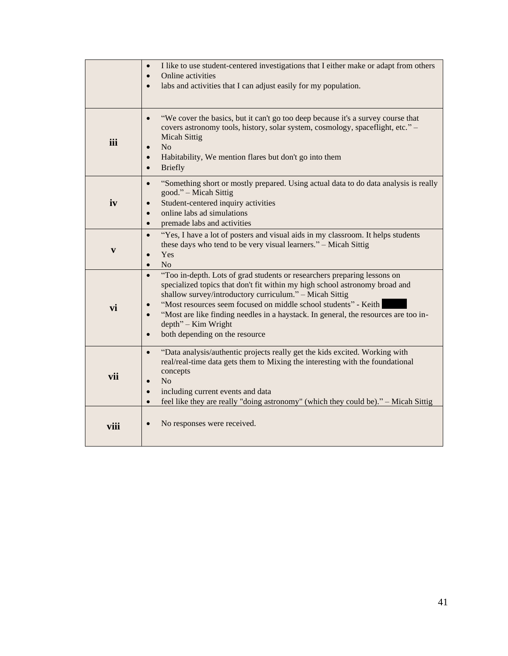|              | I like to use student-centered investigations that I either make or adapt from others<br>Online activities<br>$\bullet$<br>labs and activities that I can adjust easily for my population.                                                                                                                                                                                                                                                            |
|--------------|-------------------------------------------------------------------------------------------------------------------------------------------------------------------------------------------------------------------------------------------------------------------------------------------------------------------------------------------------------------------------------------------------------------------------------------------------------|
| iii          | "We cover the basics, but it can't go too deep because it's a survey course that<br>$\bullet$<br>covers astronomy tools, history, solar system, cosmology, spaceflight, etc." -<br><b>Micah Sittig</b><br>N <sub>o</sub><br>Habitability, We mention flares but don't go into them<br><b>Briefly</b><br>$\bullet$                                                                                                                                     |
| iv           | "Something short or mostly prepared. Using actual data to do data analysis is really<br>$\bullet$<br>good." - Micah Sittig<br>Student-centered inquiry activities<br>online labs ad simulations<br>premade labs and activities<br>$\bullet$                                                                                                                                                                                                           |
| $\mathbf{v}$ | "Yes, I have a lot of posters and visual aids in my classroom. It helps students<br>$\bullet$<br>these days who tend to be very visual learners." - Micah Sittig<br>Yes<br>N <sub>o</sub><br>$\bullet$                                                                                                                                                                                                                                                |
| vi           | "Too in-depth. Lots of grad students or researchers preparing lessons on<br>specialized topics that don't fit within my high school astronomy broad and<br>shallow survey/introductory curriculum." - Micah Sittig<br>"Most resources seem focused on middle school students" - Keith<br>"Most are like finding needles in a haystack. In general, the resources are too in-<br>$depth$ " – Kim Wright<br>both depending on the resource<br>$\bullet$ |
| vii          | "Data analysis/authentic projects really get the kids excited. Working with<br>$\bullet$<br>real/real-time data gets them to Mixing the interesting with the foundational<br>concepts<br>N <sub>o</sub><br>including current events and data<br>$\bullet$<br>feel like they are really "doing astronomy" (which they could be)." - Micah Sittig<br>$\bullet$                                                                                          |
| viii         | No responses were received.                                                                                                                                                                                                                                                                                                                                                                                                                           |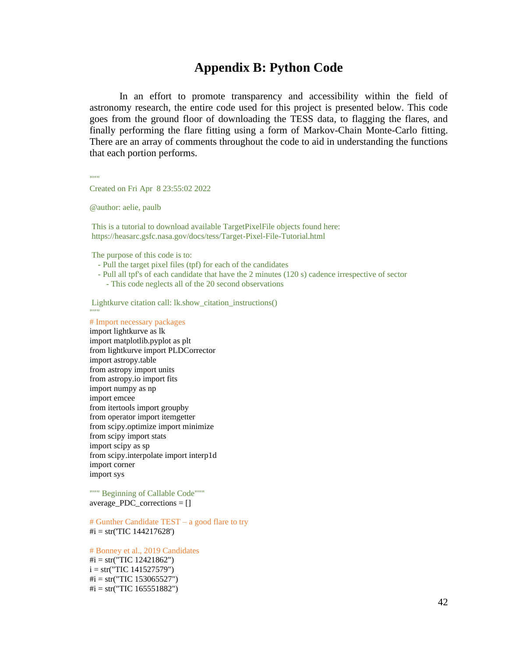# **Appendix B: Python Code**

In an effort to promote transparency and accessibility within the field of astronomy research, the entire code used for this project is presented below. This code goes from the ground floor of downloading the TESS data, to flagging the flares, and finally performing the flare fitting using a form of Markov-Chain Monte-Carlo fitting. There are an array of comments throughout the code to aid in understanding the functions that each portion performs.

 $"''"$ 

Created on Fri Apr 8 23:55:02 2022

@author: aelie, paulb

This is a tutorial to download available TargetPixelFile objects found here: https://heasarc.gsfc.nasa.gov/docs/tess/Target-Pixel-File-Tutorial.html

The purpose of this code is to:

- Pull the target pixel files (tpf) for each of the candidates
- Pull all tpf's of each candidate that have the 2 minutes (120 s) cadence irrespective of sector - This code neglects all of the 20 second observations

Lightkurve citation call: lk.show\_citation\_instructions() """

# Import necessary packages

import lightkurve as lk import matplotlib.pyplot as plt from lightkurve import PLDCorrector import astropy.table from astropy import units from astropy.io import fits import numpy as np import emcee from itertools import groupby from operator import itemgetter from scipy.optimize import minimize from scipy import stats import scipy as sp from scipy.interpolate import interp1d import corner import sys

""" Beginning of Callable Code""" average PDC corrections  $= [$ ]

# Gunther Candidate TEST – a good flare to try  $\#i = str(TIC 144217628')$ 

# Bonney et al., 2019 Candidates  $\#i = str("TIC 12421862")$  $i = str("TIC 141527579")$  $\#i = str("TIC 153065527")$  $\#$ i = str("TIC 165551882")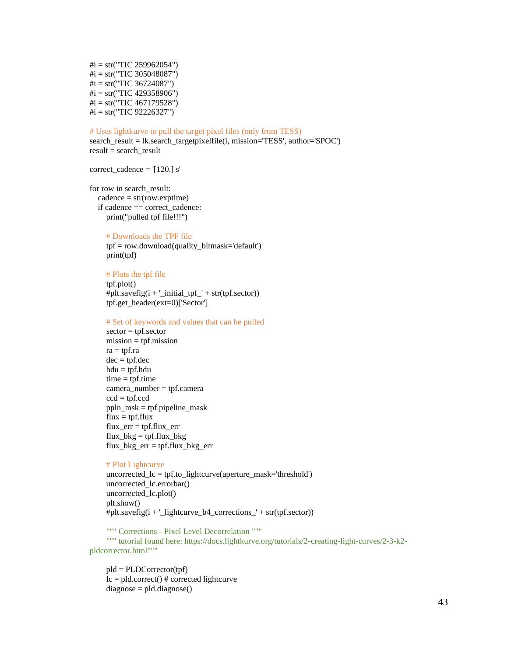$\#i = str("TIC 259962054")$  $\#i = str("TIC 305048087")$  $\#i = str("TIC 36724087")$  $\#i = str("TIC 429358906")$  $\#i = str("TIC 467179528")$  $\#i = str("TIC 92226327")$ 

#### # Uses lightkurve to pull the target pixel files (only from TESS)

search\_result = lk.search\_targetpixelfile(i, mission='TESS', author='SPOC') result = search\_result

correct\_cadence = '[120.] s'

for row in search\_result:  $cadence = str(row.exptime)$  if cadence == correct\_cadence: print("pulled tpf file!!!")

#### # Downloads the TPF file

 tpf = row.download(quality\_bitmask='default') print(tpf)

 # Plots the tpf file tpf.plot()

#plt.savefig( $i + \_initial_tpf_'+ str(tpf.sector)$ ) tpf.get\_header(ext=0)['Sector']

#### # Set of keywords and values that can be pulled

 sector = tpf.sector mission = tpf.mission ra = tpf.ra  $dec = tpf.dec$  hdu = tpf.hdu  $time = tpf.time$ camera  $number = tpf.camera$  $ccd = tpf.ccd$  ppln\_msk = tpf.pipeline\_mask  $flux = tf.flux$  $flux_error = tpf-flux_error$  $flux_bkg = tpf-flux_bkg$ flux\_bkg\_err = tpf.flux\_bkg\_err

#### # Plot Lightcurve

 uncorrected\_lc = tpf.to\_lightcurve(aperture\_mask='threshold') uncorrected\_lc.errorbar() uncorrected\_lc.plot() plt.show() #plt.savefig( $i + \underline{\text{lightcurve}}_b4\_corrections' + str(tpf.sector)$ )

 """ Corrections - Pixel Level Decorrelation """ """ tutorial found here: https://docs.lightkurve.org/tutorials/2-creating-light-curves/2-3-k2 pldcorrector.html"""

 pld = PLDCorrector(tpf)  $lc = pld.correct()$  # corrected lightcurve diagnose = pld.diagnose()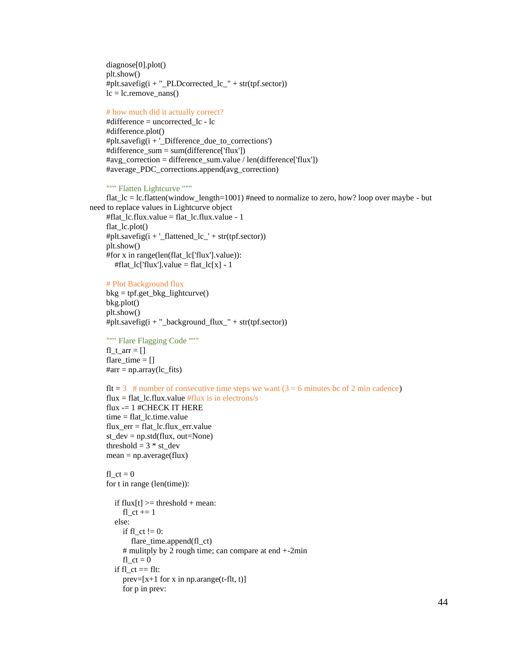diagnose[0].plot() plt.show() #plt.savefig( $i +$ "\_PLDcorrected\_lc\_" + str(tpf.sector))  $lc = lc$ .remove\_nans()

#### # how much did it actually correct?

 #difference = uncorrected\_lc - lc #difference.plot() #plt.savefig(i + '\_Difference\_due\_to\_corrections') #difference\_sum = sum(difference['flux']) #avg\_correction = difference\_sum.value / len(difference['flux']) #average\_PDC\_corrections.append(avg\_correction)

#### """ Flatten Lightcurve """

 flat\_lc = lc.flatten(window\_length=1001) #need to normalize to zero, how? loop over maybe - but need to replace values in Lightcurve object

```
 #flat_lc.flux.value = flat_lc.flux.value - 1
flat lc.plot() #plt.savefig(i + '_flattened_lc_' + str(tpf.sector))
 plt.show()
 #for x in range(len(flat_lc['flux'].value)):
  #flat_lc['flux'].value = flat_lc[x] - 1
```
#### # Plot Background flux

 $bkg = tpf.get_bkg_{lightcurve}()$  bkg.plot() plt.show() #plt.savefig( $i +$ "\_background\_flux\_" + str(tpf.sector))

 """ Flare Flagging Code """  $f1_t_arr = []$ flare\_time  $= []$  $#arr = np.array(lc_{fits})$ 

 $f$ It = 3 # number of consecutive time steps we want  $(3 = 6 \text{ minutes}$  bc of 2 min cadence) flux = flat lc.flux.value  $#flux$  is in electrons/s flux -= 1 #CHECK IT HERE  $time = flat$  lc.time.value flux\_err = flat\_lc.flux\_err.value st\_dev = np.std(flux, out=None) threshold  $= 3 * st\_dev$  $mean = np} = arg$ 

fl  $ct = 0$ for t in range (len(time)):

```
if flux[t] \geq threshold + mean:
  fl ct += 1
 else:
  if fl ct := 0:
      flare_time.append(fl_ct)
   # mulitply by 2 rough time; can compare at end +-2min
  f1_c t = 0if fl<sub>_ct</sub> == flt:
  prev=[x+1 for x in np.arange(t-flt, t)]
   for p in prev:
```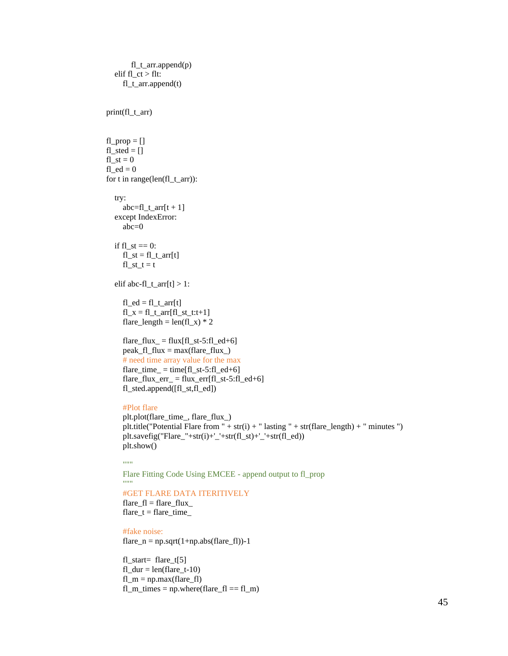```
 fl_t_arr.append(p)
       elif fl ct > flt:
          fl_t_arr.append(t)
     print(fl_t_arr)
    f1<sub>_prop</sub> = []fl\_sted = []f1_st = 0fl ed = 0 for t in range(len(fl_t_arr)):
        try:
         abc=fl_tarr[t + 1] except IndexError:
          abc=0
       if f1_st == 0:
         fl_st = f_l_tarr[t]f1_st_t = telif abc-fl_t_arr[t] > 1:
         fl\_ed = fl_t_arr[t]fl_x = fl_t_arr[fl_st_t:t+1]
         flare_length = len(fl_x) * 2
         flare_flux = flux[fl_st-5:fl\_ed+6]peak_f1_flux = max(flare_flux) # need time array value for the max
         flare_time = time[fl_st-5:fl_ed+6]
         flare_flux_err_ = flux_err[fl_st-5:fl_ed+6]
          fl_sted.append([fl_st,fl_ed])
          #Plot flare
          plt.plot(flare_time_, flare_flux_)
         plt.title("Potential Flare from " + str(i) + " lasting " + str(flare_length) + " minutes ")
          plt.savefig("Flare_"+str(i)+'_'+str(fl_st)+'_'+str(fl_ed))
          plt.show()
         "''" Flare Fitting Code Using EMCEE - append output to fl_prop
 """
          #GET FLARE DATA ITERITIVELY
         flare_f = flare_fluxflare_t = flare_time #fake noise:
         flare_n = np.sqrt(1+np.abs(flare_f)) - 1
```

```
fl\_start= flare_t[5]f1_dur = len(flare_t-10)f1_m = np.max(flare_f1)f1_m_time_s = np.where(flare_f1 == f1_m)
```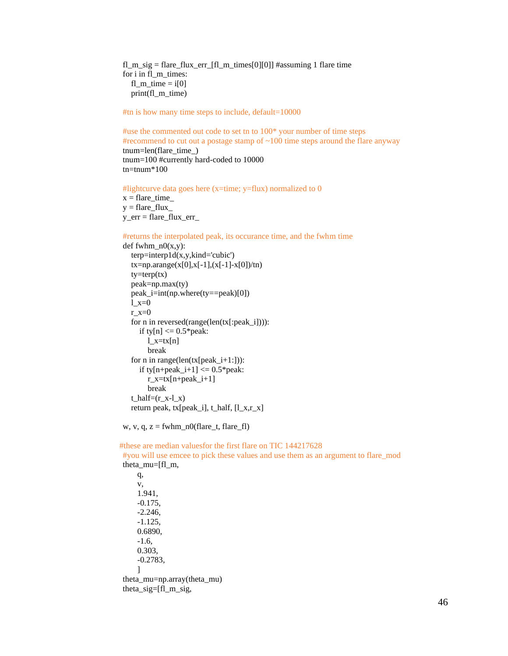fl\_m\_sig = flare\_flux\_err\_[fl\_m\_times[0][0]] #assuming 1 flare time for i in fl\_m\_times: fl\_m\_time =  $i[0]$ print(fl\_m\_time)

#tn is how many time steps to include, default=10000

 #use the commented out code to set tn to 100\* your number of time steps #recommend to cut out a postage stamp of ~100 time steps around the flare anyway tnum=len(flare\_time\_) tnum=100 #currently hard-coded to 10000 tn=tnum\*100

#lightcurve data goes here (x=time; y=flux) normalized to 0

 $x = flare_time$  $y =$  flare flux y\_err = flare\_flux\_err\_

#returns the interpolated peak, its occurance time, and the fwhm time

```
def fwhm_n0(x,y):
  terp=interp1d(x,y,kind='cubic')tx = np.arange(x[0], x[-1], (x[-1]-x[0])/tn)ty=\text{terp}(tx) peak=np.max(ty)
   peak_i=int(np.where(ty==peak)[0])
  l x=0r_x=0 for n in reversed(range(len(tx[:peak_i]))):
     if ty[n] \leq 0.5* peak:
       l_x = tx[n] break
   for n in range(len(tx[peak_i+1:])):
     if ty[n+peak_i+1] \leq 0.5*peak:
       r_x = tx[n+peak_i+1] break
  t_half=(r x-l x) return peak, tx[peak_i], t_half, [l_x,r_x]
```
w, v, q,  $z = fwhm_n0(flare_t, flare_fl)$ 

#these are median valuesfor the first flare on TIC 144217628

 #you will use emcee to pick these values and use them as an argument to flare\_mod theta\_mu=[fl\_m,

 q, v, 1.941, -0.175, -2.246, -1.125, 0.6890, -1.6, 0.303, -0.2783, ] theta\_mu=np.array(theta\_mu) theta\_sig=[fl\_m\_sig,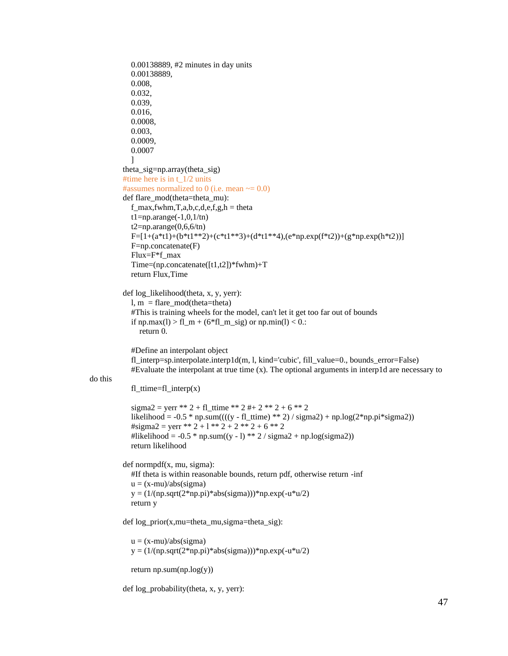```
 0.00138889, #2 minutes in day units
             0.00138889,
             0.008,
             0.032,
             0.039,
             0.016,
             0.0008,
             0.003,
             0.0009,
             0.0007
 ]
         theta sig=np.array(theta\_sig)#time here is in t_1/2 units
         #assumes normalized to 0 (i.e. mean \sim = 0.0)
         def flare_mod(theta=theta_mu):
            f_max,fwhm,T,a,b,c,d,e,f,g,h = theta
            t1=np.arange(-1,0,1/tn)
            t2=np.arange(0,6,6/tn)
            F=[1+(a*t1)+(b*t1**2)+(c*t1**3)+(d*t1**4),(e*np.exp(f*t2))+(g*np.exp(h*t2))]F=np.concatenate(F) Flux=F*f_max
             Time=(np.concatenate([t1,t2])*fwhm)+T
             return Flux,Time
          def log_likelihood(theta, x, y, yerr):
            l, m = flare mod(theta=theta) #This is training wheels for the model, can't let it get too far out of bounds
            if np.max(l) > fl_m + (6*fl_m_sig) or np.min(l) < 0.:
               return 0. 
             #Define an interpolant object
             fl_interp=sp.interpolate.interp1d(m, l, kind='cubic', fill_value=0., bounds_error=False)
            #Evaluate the interpolant at true time (x). The optional arguments in interp1d are necessary tofl ttime=fl interp(x)
            sigma2 = yerr ** 2 + fl_ttime ** 2 # + 2 ** 2 + 6 ** 2
            likelihood = -0.5 * np.sum((((y - fl_ttime) ** 2) / sigma2) + np.log(2*np.pi*sigma2))
            \text{\#sigma2} = \text{verr} ** 2 + 1 ** 2 + 2 ** 2 + 6 ** 2
            #likelihood = -0.5 * np.sum((y - l) ** 2 / sigma2 + np.log(sigma2))
             return likelihood
          def normpdf(x, mu, sigma):
             #If theta is within reasonable bounds, return pdf, otherwise return -inf
            u = (x-mu)/abs(sigma)y = (1/(np.sqrt(2*np.pl)*abs(signa))) * np.exp(-u*u/2) return y
          def log_prior(x,mu=theta_mu,sigma=theta_sig):
            u = (x-mu)/abs(sigma)y = (1/(np.sqrt(2*np.pl)*abs(signa)))*np.exp(-u*u/2)
```
return np.sum(np.log(y))

do this

def log\_probability(theta, x, y, yerr):